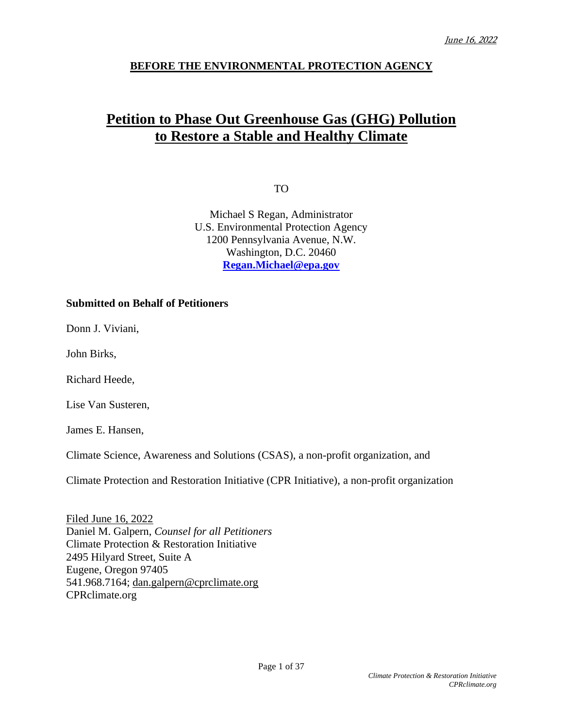# **BEFORE THE ENVIRONMENTAL PROTECTION AGENCY**

# **Petition to Phase Out Greenhouse Gas (GHG) Pollution to Restore a Stable and Healthy Climate**

TO

Michael S Regan, Administrator U.S. Environmental Protection Agency 1200 Pennsylvania Avenue, N.W. Washington, D.C. 20460 **[Regan.Michael@epa.gov](mailto:Regan.Michael@epa.gov)**

#### **Submitted on Behalf of Petitioners**

Donn J. Viviani,

John Birks,

Richard Heede,

Lise Van Susteren,

James E. Hansen,

Climate Science, Awareness and Solutions (CSAS), a non-profit organization, and

Climate Protection and Restoration Initiative (CPR Initiative), a non-profit organization

Filed June 16, 2022 Daniel M. Galpern, *Counsel for all Petitioners* Climate Protection & Restoration Initiative 2495 Hilyard Street, Suite A Eugene, Oregon 97405 541.968.7164; [dan.galpern@cprclimate.org](mailto:dan.galpern@cprclimate.org) CPRclimate.org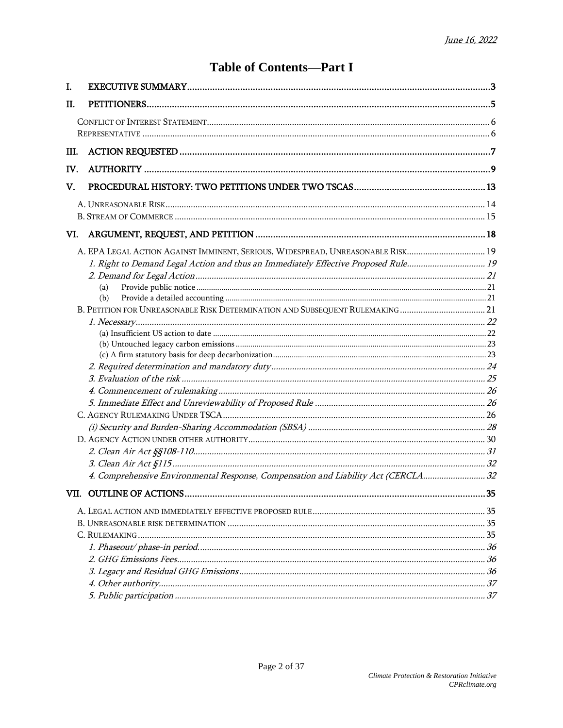# **Table of Contents-Part I**

| VI.                                                                                                                                                                           |                                                                                                                                                                        |
|-------------------------------------------------------------------------------------------------------------------------------------------------------------------------------|------------------------------------------------------------------------------------------------------------------------------------------------------------------------|
| A. EPA LEGAL ACTION AGAINST IMMINENT, SERIOUS, WIDESPREAD, UNREASONABLE RISK 19<br>(a)<br>(b)<br>B. PETITION FOR UNREASONABLE RISK DETERMINATION AND SUBSEQUENT RULEMAKING 21 |                                                                                                                                                                        |
|                                                                                                                                                                               | $\dots$ 35                                                                                                                                                             |
|                                                                                                                                                                               |                                                                                                                                                                        |
|                                                                                                                                                                               | 1. Right to Demand Legal Action and thus an Immediately Effective Proposed Rule19<br>4. Comprehensive Environmental Response, Compensation and Liability Act (CERCLA32 |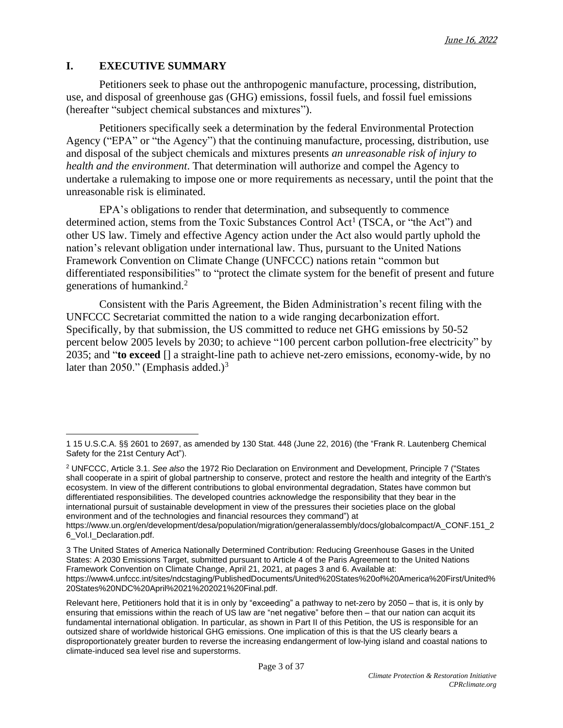## **I. EXECUTIVE SUMMARY**

Petitioners seek to phase out the anthropogenic manufacture, processing, distribution, use, and disposal of greenhouse gas (GHG) emissions, fossil fuels, and fossil fuel emissions (hereafter "subject chemical substances and mixtures").

Petitioners specifically seek a determination by the federal Environmental Protection Agency ("EPA" or "the Agency") that the continuing manufacture, processing, distribution, use and disposal of the subject chemicals and mixtures presents *an unreasonable risk of injury to health and the environment*. That determination will authorize and compel the Agency to undertake a rulemaking to impose one or more requirements as necessary, until the point that the unreasonable risk is eliminated.

EPA's obligations to render that determination, and subsequently to commence determined action, stems from the Toxic Substances Control Act<sup>1</sup> (TSCA, or "the Act") and other US law. Timely and effective Agency action under the Act also would partly uphold the nation's relevant obligation under international law. Thus, pursuant to the United Nations Framework Convention on Climate Change (UNFCCC) nations retain "common but differentiated responsibilities" to "protect the climate system for the benefit of present and future generations of humankind. 2

Consistent with the Paris Agreement, the Biden Administration's recent filing with the UNFCCC Secretariat committed the nation to a wide ranging decarbonization effort. Specifically, by that submission, the US committed to reduce net GHG emissions by 50-52 percent below 2005 levels by 2030; to achieve "100 percent carbon pollution-free electricity" by 2035; and "**to exceed** [] a straight-line path to achieve net-zero emissions, economy-wide, by no later than 2050." (Emphasis added.)<sup>3</sup>

<sup>2</sup> UNFCCC, Article 3.1. *See also* the 1972 Rio Declaration on Environment and Development, Principle 7 ("States shall cooperate in a spirit of global partnership to conserve, protect and restore the health and integrity of the Earth's ecosystem. In view of the different contributions to global environmental degradation, States have common but differentiated responsibilities. The developed countries acknowledge the responsibility that they bear in the international pursuit of sustainable development in view of the pressures their societies place on the global environment and of the technologies and financial resources they command") at

https://www.un.org/en/development/desa/population/migration/generalassembly/docs/globalcompact/A\_CONF.151\_2 6\_Vol.I\_Declaration.pdf.

3 The United States of America Nationally Determined Contribution: Reducing Greenhouse Gases in the United States: A 2030 Emissions Target, submitted pursuant to Article 4 of the Paris Agreement to the United Nations Framework Convention on Climate Change, April 21, 2021, at pages 3 and 6. Available at: [https://www4.unfccc.int/sites/ndcstaging/PublishedDocuments/United%20States%20of%20America%20First/United%](https://www4.unfccc.int/sites/ndcstaging/PublishedDocuments/United%2520States%2520of%2520America%2520First/United%2520States%2520NDC%2520April%252021%25202021%2520Final.pdf) [20States%20NDC%20April%2021%202021%20Final.pdf.](https://www4.unfccc.int/sites/ndcstaging/PublishedDocuments/United%2520States%2520of%2520America%2520First/United%2520States%2520NDC%2520April%252021%25202021%2520Final.pdf)

Relevant here, Petitioners hold that it is in only by "exceeding" a pathway to net-zero by 2050 – that is, it is only by ensuring that emissions within the reach of US law are "net negative" before then – that our nation can acquit its fundamental international obligation. In particular, as shown in Part II of this Petition, the US is responsible for an outsized share of worldwide historical GHG emissions. One implication of this is that the US clearly bears a disproportionately greater burden to reverse the increasing endangerment of low-lying island and coastal nations to climate-induced sea level rise and superstorms.

<sup>1</sup> 15 U.S.C.A. §§ 2601 to 2697, as amended by 130 Stat. 448 (June 22, 2016) (the "Frank R. Lautenberg Chemical Safety for the 21st Century Act").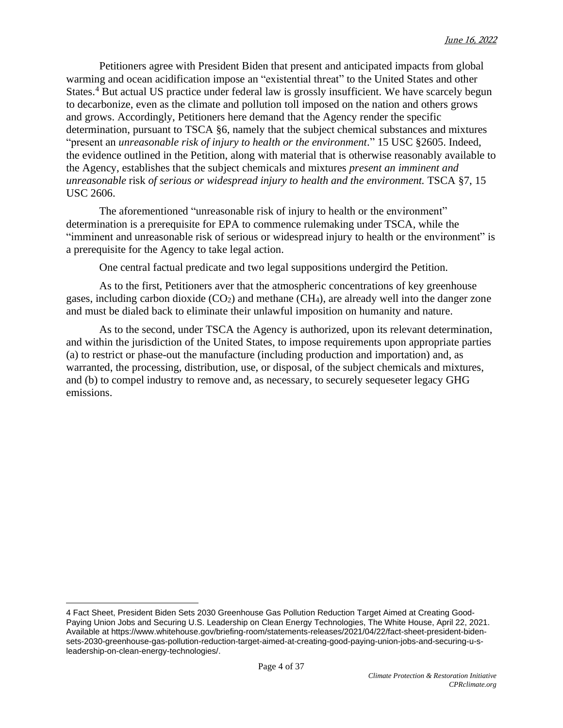Petitioners agree with President Biden that present and anticipated impacts from global warming and ocean acidification impose an "existential threat" to the United States and other States.<sup>4</sup> But actual US practice under federal law is grossly insufficient. We have scarcely begun to decarbonize, even as the climate and pollution toll imposed on the nation and others grows and grows. Accordingly, Petitioners here demand that the Agency render the specific determination, pursuant to TSCA §6, namely that the subject chemical substances and mixtures "present an *unreasonable risk of injury to health or the environment*." 15 USC §2605. Indeed, the evidence outlined in the Petition, along with material that is otherwise reasonably available to the Agency, establishes that the subject chemicals and mixtures *present an imminent and unreasonable* risk *of serious or widespread injury to health and the environment.* TSCA §7, 15 USC 2606.

The aforementioned "unreasonable risk of injury to health or the environment" determination is a prerequisite for EPA to commence rulemaking under TSCA, while the "imminent and unreasonable risk of serious or widespread injury to health or the environment" is a prerequisite for the Agency to take legal action.

One central factual predicate and two legal suppositions undergird the Petition.

As to the first, Petitioners aver that the atmospheric concentrations of key greenhouse gases, including carbon dioxide  $(CO<sub>2</sub>)$  and methane  $(CH<sub>4</sub>)$ , are already well into the danger zone and must be dialed back to eliminate their unlawful imposition on humanity and nature.

As to the second, under TSCA the Agency is authorized, upon its relevant determination, and within the jurisdiction of the United States, to impose requirements upon appropriate parties (a) to restrict or phase-out the manufacture (including production and importation) and, as warranted, the processing, distribution, use, or disposal, of the subject chemicals and mixtures, and (b) to compel industry to remove and, as necessary, to securely sequeseter legacy GHG emissions.

<sup>4</sup> Fact Sheet, President Biden Sets 2030 Greenhouse Gas Pollution Reduction Target Aimed at Creating Good-Paying Union Jobs and Securing U.S. Leadership on Clean Energy Technologies, The White House, April 22, 2021. Available at [https://www.whitehouse.gov/briefing-room/statements-releases/2021/04/22/fact-sheet-president-biden](https://www.whitehouse.gov/briefing-room/statements-releases/2021/04/22/fact-sheet-president-biden-sets-2030-greenhouse-gas-pollution-reduction-target-aimed-at-creating-good-paying-union-jobs-and-securing-u-s-leadership-on-clean-energy-technologies/)[sets-2030-greenhouse-gas-pollution-reduction-target-aimed-at-creating-good-paying-union-jobs-and-securing-u-s](https://www.whitehouse.gov/briefing-room/statements-releases/2021/04/22/fact-sheet-president-biden-sets-2030-greenhouse-gas-pollution-reduction-target-aimed-at-creating-good-paying-union-jobs-and-securing-u-s-leadership-on-clean-energy-technologies/)[leadership-on-clean-energy-technologies/.](https://www.whitehouse.gov/briefing-room/statements-releases/2021/04/22/fact-sheet-president-biden-sets-2030-greenhouse-gas-pollution-reduction-target-aimed-at-creating-good-paying-union-jobs-and-securing-u-s-leadership-on-clean-energy-technologies/)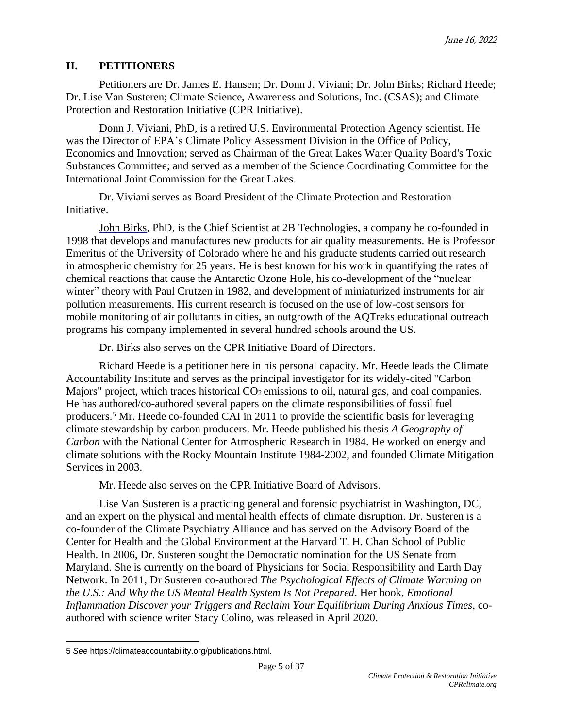# **II. PETITIONERS**

Petitioners are Dr. James E. Hansen; Dr. Donn J. Viviani; Dr. John Birks; Richard Heede; Dr. Lise Van Susteren; Climate Science, Awareness and Solutions, Inc. (CSAS); and Climate Protection and Restoration Initiative (CPR Initiative).

Donn J. [Viviani,](https://cprclimate.org/about/leadership/donn-viviani/) PhD, is a retired U.S. Environmental Protection Agency scientist. He was the Director of EPA's Climate Policy Assessment Division in the Office of Policy, Economics and Innovation; served as Chairman of the Great Lakes Water Quality Board's Toxic Substances Committee; and served as a member of the Science Coordinating Committee for the International Joint Commission for the Great Lakes.

Dr. Viviani serves as Board President of the Climate Protection and Restoration Initiative.

John [Birks,](https://cprclimate.org/about/leadership/dr-john-birks/) PhD, is the Chief Scientist at 2B Technologies, a company he co-founded in 1998 that develops and manufactures new products for air quality measurements. He is Professor Emeritus of the University of Colorado where he and his graduate students carried out research in atmospheric chemistry for 25 years. He is best known for his work in quantifying the rates of chemical reactions that cause the Antarctic Ozone Hole, his co-development of the "nuclear winter" theory with Paul Crutzen in 1982, and development of miniaturized instruments for air pollution measurements. His current research is focused on the use of low-cost sensors for mobile monitoring of air pollutants in cities, an outgrowth of the AQTreks educational outreach programs his company implemented in several hundred schools around the US.

Dr. Birks also serves on the CPR Initiative Board of Directors.

[Richard](https://climateaccountability.org/board.html) Heede is a petitioner here in his personal capacity. Mr. Heede leads the Climate Accountability Institute and serves as the principal investigator for its widely-cited "Carbon Majors" project, which traces historical CO<sub>2</sub> emissions to oil, natural gas, and coal companies. He has authored/co-authored several papers on the climate responsibilities of fossil fuel producers.<sup>5</sup> Mr. Heede co-founded CAI in 2011 to provide the scientific basis for leveraging climate stewardship by carbon producers. Mr. Heede published his thesis *A Geography of Carbon* with the National Center for Atmospheric Research in 1984. He worked on energy and climate solutions with the Rocky Mountain Institute 1984-2002, and founded Climate Mitigation Services in 2003.

Mr. Heede also serves on the CPR Initiative Board of Advisors.

Lise Van [Susteren](https://cprclimate.org/about/leadership/dr-lise-van-susteren/) is a practicing general and forensic psychiatrist in Washington, DC, and an expert on the physical and mental health effects of climate disruption. Dr. Susteren is a co-founder of the Climate Psychiatry Alliance and has served on the Advisory Board of the Center for Health and the Global Environment at the Harvard T. H. Chan School of Public Health. In 2006, Dr. Susteren sought the Democratic nomination for the US Senate from Maryland. She is currently on the board of Physicians for Social Responsibility and Earth Day Network. In 2011, Dr Susteren co-authored *The Psychological Effects of Climate Warming on the U.S.: And Why the US Mental Health System Is Not Prepared*. Her book, *Emotional Inflammation Discover your Triggers and Reclaim Your Equilibrium During Anxious Times*, coauthored with science writer Stacy Colino, was released in April 2020.

<sup>5</sup> *See* [https://climateaccountability.org/publications.html.](https://climateaccountability.org/publications.html)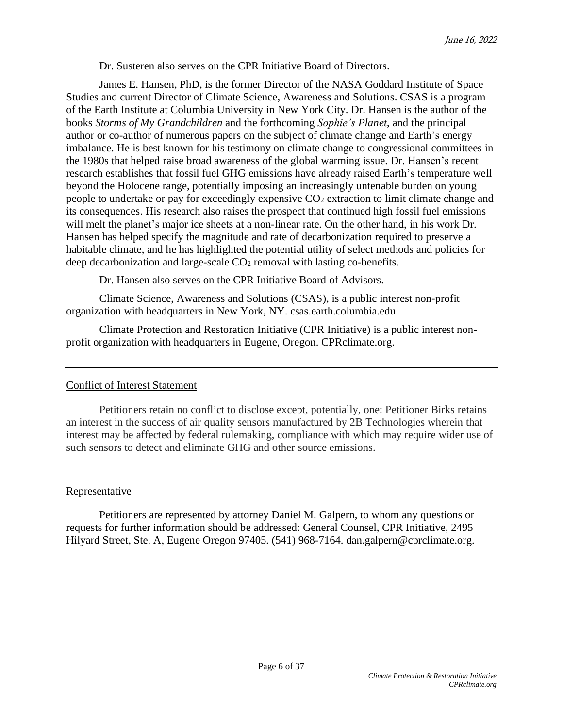Dr. Susteren also serves on the CPR Initiative Board of Directors.

James E. [Hansen,](https://csas.earth.columbia.edu/about/people/james-e-hansen) PhD, is the former Director of the NASA Goddard Institute of Space Studies and current Director of Climate Science, Awareness and Solutions. CSAS is a program of the Earth Institute at Columbia University in New York City. Dr. Hansen is the author of the books *Storms of My Grandchildren* and the forthcoming *Sophie's Planet*, and the principal author or co-author of numerous papers on the subject of climate change and Earth's energy imbalance. He is best known for his testimony on climate change to congressional committees in the 1980s that helped raise broad awareness of the global warming issue. Dr. Hansen's recent research establishes that fossil fuel GHG emissions have already raised Earth's temperature well beyond the Holocene range, potentially imposing an increasingly untenable burden on young people to undertake or pay for exceedingly expensive CO<sup>2</sup> extraction to limit climate change and its consequences. His research also raises the prospect that continued high fossil fuel emissions will melt the planet's major ice sheets at a non-linear rate. On the other hand, in his work Dr. Hansen has helped specify the magnitude and rate of decarbonization required to preserve a habitable climate, and he has highlighted the potential utility of select methods and policies for deep decarbonization and large-scale CO<sup>2</sup> removal with lasting co-benefits.

Dr. Hansen also serves on the CPR Initiative Board of Advisors.

Climate Science, [Awareness](https://csas.earth.columbia.edu/) and Solutions (CSAS), is a public interest non-profit organization with headquarters in New York, NY. [csas.earth.columbia.edu.](https://csas.earth.columbia.edu/)

Climate Protection and [Restoration](https://cprclimate.org/) Initiative (CPR Initiative) is a public interest nonprofit organization with headquarters in Eugene, Oregon. [CPRclimate.org.](http://cprclimate.org/)

## Conflict of Interest Statement

Petitioners retain no conflict to disclose except, potentially, one: Petitioner Birks retains an interest in the success of air quality sensors manufactured by 2B Technologies wherein that interest may be affected by federal rulemaking, compliance with which may require wider use of such sensors to detect and eliminate GHG and other source emissions.

#### **Representative**

Petitioners are represented by attorney Daniel M. [Galpern,](https://cprclimate.org/about/leadership/dan-galpern/) to whom any questions or requests for further information should be addressed: General Counsel, CPR Initiative, 2495 Hilyard Street, Ste. A, Eugene Oregon 97405. (541) 968-7164. dan.galpern@cprclimate.org.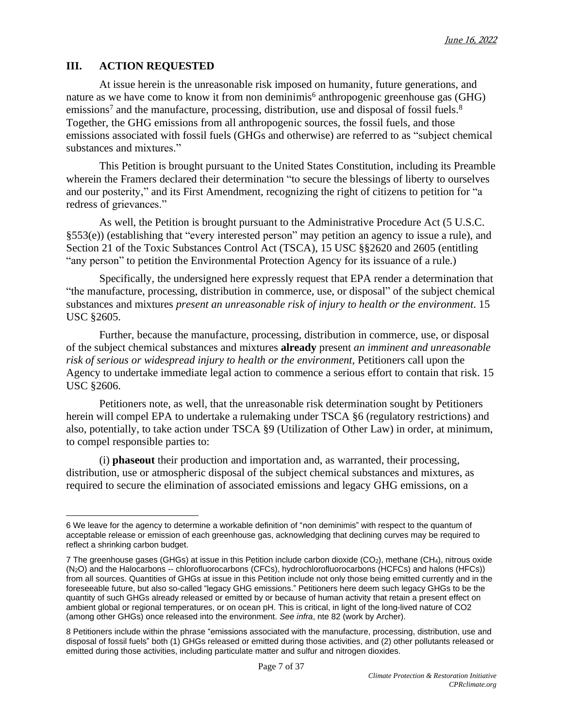# **III. ACTION REQUESTED**

At issue herein is the unreasonable risk imposed on humanity, future generations, and nature as we have come to know it from non deminimis<sup>6</sup> anthropogenic greenhouse gas (GHG) emissions<sup>7</sup> and the manufacture, processing, distribution, use and disposal of fossil fuels.<sup>8</sup> Together, the GHG emissions from all anthropogenic sources, the fossil fuels, and those emissions associated with fossil fuels (GHGs and otherwise) are referred to as "subject chemical substances and mixtures."

This Petition is brought pursuant to the United States Constitution, including its Preamble wherein the Framers declared their determination "to secure the blessings of liberty to ourselves and our posterity," and its First Amendment, recognizing the right of citizens to petition for "a redress of grievances."

As well, the Petition is brought pursuant to the Administrative Procedure Act (5 U.S.C. §553(e)) (establishing that "every interested person" may petition an agency to issue a rule), and Section 21 of the Toxic Substances Control Act (TSCA), 15 USC §§2620 and 2605 (entitling "any person" to petition the Environmental Protection Agency for its issuance of a rule.)

Specifically, the undersigned here expressly request that EPA render a determination that "the manufacture, processing, distribution in commerce, use, or disposal" of the subject chemical substances and mixtures *present an unreasonable risk of injury to health or the environment*. 15 USC §2605.

Further, because the manufacture, processing, distribution in commerce, use, or disposal of the subject chemical substances and mixtures **already** present *an imminent and unreasonable risk of serious or widespread injury to health or the environment,* Petitioners call upon the Agency to undertake immediate legal action to commence a serious effort to contain that risk. 15 USC §2606.

Petitioners note, as well, that the unreasonable risk determination sought by Petitioners herein will compel EPA to undertake a rulemaking under TSCA §6 (regulatory restrictions) and also, potentially, to take action under TSCA §9 (Utilization of Other Law) in order, at minimum, to compel responsible parties to:

(i) **phaseout** their production and importation and, as warranted, their processing, distribution, use or atmospheric disposal of the subject chemical substances and mixtures, as required to secure the elimination of associated emissions and legacy GHG emissions, on a

<sup>6</sup> We leave for the agency to determine a workable definition of "non deminimis" with respect to the quantum of acceptable release or emission of each greenhouse gas, acknowledging that declining curves may be required to reflect a shrinking carbon budget.

<sup>7</sup> The greenhouse gases (GHGs) at issue in this Petition include carbon dioxide (CO2), methane (CH4), nitrous oxide (N2O) and the Halocarbons -- chlorofluorocarbons (CFCs), hydrochlorofluorocarbons (HCFCs) and halons (HFCs)) from all sources. Quantities of GHGs at issue in this Petition include not only those being emitted currently and in the foreseeable future, but also so-called "legacy GHG emissions." Petitioners here deem such legacy GHGs to be the quantity of such GHGs already released or emitted by or because of human activity that retain a present effect on ambient global or regional temperatures, or on ocean pH. This is critical, in light of the long-lived nature of CO2 (among other GHGs) once released into the environment. *See infra*, nte 82 (work by Archer).

<sup>8</sup> Petitioners include within the phrase "emissions associated with the manufacture, processing, distribution, use and disposal of fossil fuels" both (1) GHGs released or emitted during those activities, and (2) other pollutants released or emitted during those activities, including particulate matter and sulfur and nitrogen dioxides.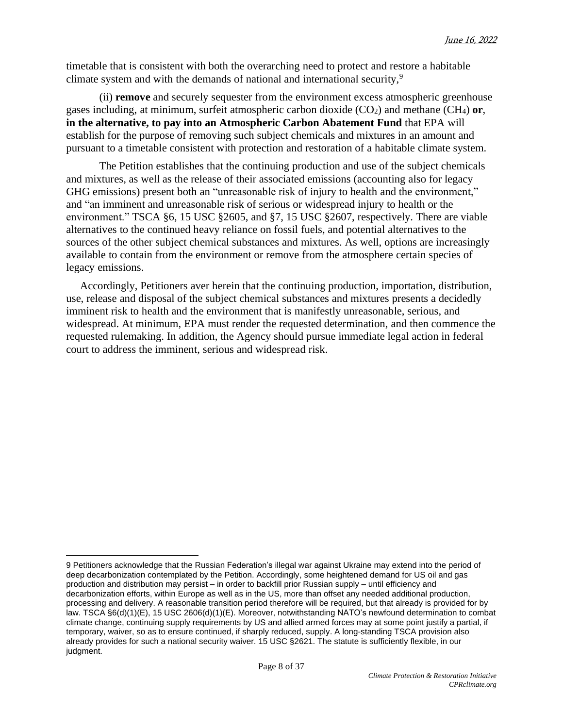timetable that is consistent with both the overarching need to protect and restore a habitable climate system and with the demands of national and international security,<sup>9</sup>

(ii) **remove** and securely sequester from the environment excess atmospheric greenhouse gases including, at minimum, surfeit atmospheric carbon dioxide (CO2) and methane (CH4) **or**, **in the alternative, to pay into an Atmospheric Carbon Abatement Fund** that EPA will establish for the purpose of removing such subject chemicals and mixtures in an amount and pursuant to a timetable consistent with protection and restoration of a habitable climate system.

The Petition establishes that the continuing production and use of the subject chemicals and mixtures, as well as the release of their associated emissions (accounting also for legacy GHG emissions) present both an "unreasonable risk of injury to health and the environment," and "an imminent and unreasonable risk of serious or widespread injury to health or the environment." TSCA §6, 15 USC §2605, and §7, 15 USC §2607, respectively. There are viable alternatives to the continued heavy reliance on fossil fuels, and potential alternatives to the sources of the other subject chemical substances and mixtures. As well, options are increasingly available to contain from the environment or remove from the atmosphere certain species of legacy emissions.

Accordingly, Petitioners aver herein that the continuing production, importation, distribution, use, release and disposal of the subject chemical substances and mixtures presents a decidedly imminent risk to health and the environment that is manifestly unreasonable, serious, and widespread. At minimum, EPA must render the requested determination, and then commence the requested rulemaking. In addition, the Agency should pursue immediate legal action in federal court to address the imminent, serious and widespread risk.

<sup>9</sup> Petitioners acknowledge that the Russian Federation's illegal war against Ukraine may extend into the period of deep decarbonization contemplated by the Petition. Accordingly, some heightened demand for US oil and gas production and distribution may persist – in order to backfill prior Russian supply – until efficiency and decarbonization efforts, within Europe as well as in the US, more than offset any needed additional production, processing and delivery. A reasonable transition period therefore will be required, but that already is provided for by law. TSCA §6(d)(1)(E), 15 USC 2606(d)(1)(E). Moreover, notwithstanding NATO's newfound [determination](https://www.gmfus.org/news/nato-and-climate-change-better-late-never) to combat climate change, continuing supply requirements by US and allied armed forces may at some point justify a partial, if temporary, waiver, so as to ensure continued, if sharply reduced, supply. A long-standing TSCA provision also already provides for such a national security waiver. 15 USC §2621. The statute is sufficiently flexible, in our judgment.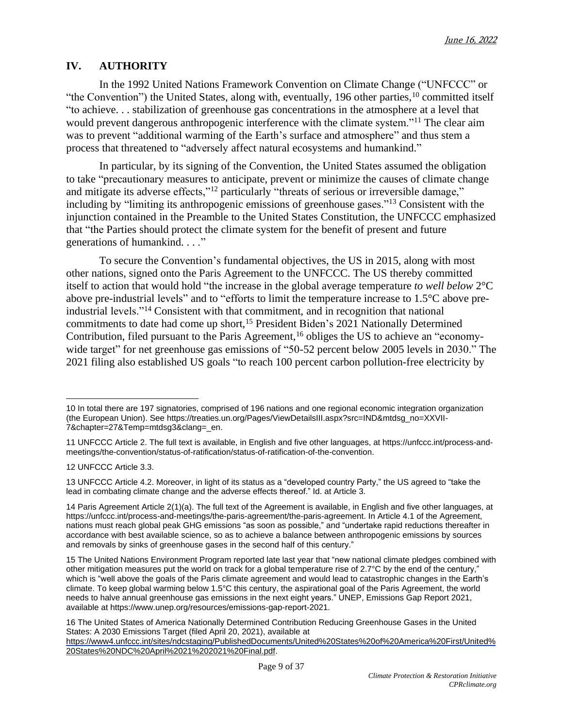## **IV. AUTHORITY**

In the 1992 United Nations Framework Convention on Climate Change ("UNFCCC" or "the Convention") the United States, along with, eventually, 196 other parties,  $10$  committed itself "to achieve. . . stabilization of greenhouse gas concentrations in the atmosphere at a level that would prevent dangerous anthropogenic interference with the climate system."<sup>11</sup> The clear aim was to prevent "additional warming of the Earth's surface and atmosphere" and thus stem a process that threatened to "adversely affect natural ecosystems and humankind."

In particular, by its signing of the Convention, the United States assumed the obligation to take "precautionary measures to anticipate, prevent or minimize the causes of climate change and mitigate its adverse effects,"<sup>12</sup> particularly "threats of serious or irreversible damage," including by "limiting its anthropogenic emissions of greenhouse gases."<sup>13</sup> Consistent with the injunction contained in the Preamble to the United States Constitution, the UNFCCC emphasized that "the Parties should protect the climate system for the benefit of present and future generations of humankind. . . ."

To secure the Convention's fundamental objectives, the US in 2015, along with most other nations, signed onto the Paris Agreement to the UNFCCC. The US thereby committed itself to action that would hold "the increase in the global average temperature *to well below* 2°C above pre-industrial levels" and to "efforts to limit the temperature increase to 1.5°C above preindustrial levels."<sup>14</sup> Consistent with that commitment, and in recognition that national commitments to date had come up short,<sup>15</sup> President Biden's 2021 Nationally Determined Contribution, filed pursuant to the Paris Agreement,<sup>16</sup> obliges the US to achieve an "economywide target" for net greenhouse gas emissions of "50-52 percent below 2005 levels in 2030." The 2021 filing also established US goals "to reach 100 percent carbon pollution-free electricity by

12 UNFCCC Article 3.3.

13 UNFCCC Article 4.2. Moreover, in light of its status as a "developed country Party," the US agreed to "take the lead in combating climate change and the adverse effects thereof." Id. at Article 3.

14 Paris Agreement Article 2(1)(a). The full text of the Agreement is available, in English and five other languages, at [https://unfccc.int/process-and-meetings/the-paris-agreement/the-paris-agreement.](https://unfccc.int/process-and-meetings/the-paris-agreement/the-paris-agreement) In Article 4.1 of the Agreement, nations must reach global peak GHG emissions "as soon as possible," and "undertake rapid reductions thereafter in accordance with best available science, so as to achieve a balance between anthropogenic emissions by sources and removals by sinks of greenhouse gases in the second half of this century."

15 The United Nations Environment Program reported late last year that "new national climate pledges combined with other mitigation measures put the world on track for a global temperature rise of 2.7°C by the end of the century," which is "well above the goals of the Paris climate agreement and would lead to catastrophic changes in the Earth's climate. To keep global warming below 1.5°C this century, the aspirational goal of the Paris Agreement, the world needs to halve annual greenhouse gas emissions in the next eight years." UNEP, Emissions Gap Report 2021, available at [https://www.unep.org/resources/emissions-gap-report-2021.](https://www.unep.org/resources/emissions-gap-report-2021)

16 The United States of America Nationally Determined Contribution Reducing Greenhouse Gases in the United States: A 2030 Emissions Target (filed April 20, 2021), available at [https://www4.unfccc.int/sites/ndcstaging/PublishedDocuments/United%20States%20of%20America%20First/United%](https://www4.unfccc.int/sites/ndcstaging/PublishedDocuments/United%20States%20of%20America%20First/United%20States%20NDC%20April%2021%202021%20Final.pdf) [20States%20NDC%20April%2021%202021%20Final.pdf.](https://www4.unfccc.int/sites/ndcstaging/PublishedDocuments/United%20States%20of%20America%20First/United%20States%20NDC%20April%2021%202021%20Final.pdf)

<sup>10</sup> In total there are 197 signatories, comprised of 196 nations and one regional economic integration organization (the European Union). See [https://treaties.un.org/Pages/ViewDetailsIII.aspx?src=IND&mtdsg\\_no=XXVII-](https://treaties.un.org/Pages/ViewDetailsIII.aspx?src=IND&mtdsg_no=XXVII-7&chapter=27&Temp=mtdsg3&clang=_en)[7&chapter=27&Temp=mtdsg3&clang=\\_en.](https://treaties.un.org/Pages/ViewDetailsIII.aspx?src=IND&mtdsg_no=XXVII-7&chapter=27&Temp=mtdsg3&clang=_en)

<sup>11</sup> UNFCCC Article 2. The full text is available, in English and five other languages, at [https://unfccc.int/process-and](https://unfccc.int/process-and-meetings/the-convention/status-of-ratification/status-of-ratification-of-the-convention)[meetings/the-convention/status-of-ratification/status-of-ratification-of-the-convention.](https://unfccc.int/process-and-meetings/the-convention/status-of-ratification/status-of-ratification-of-the-convention)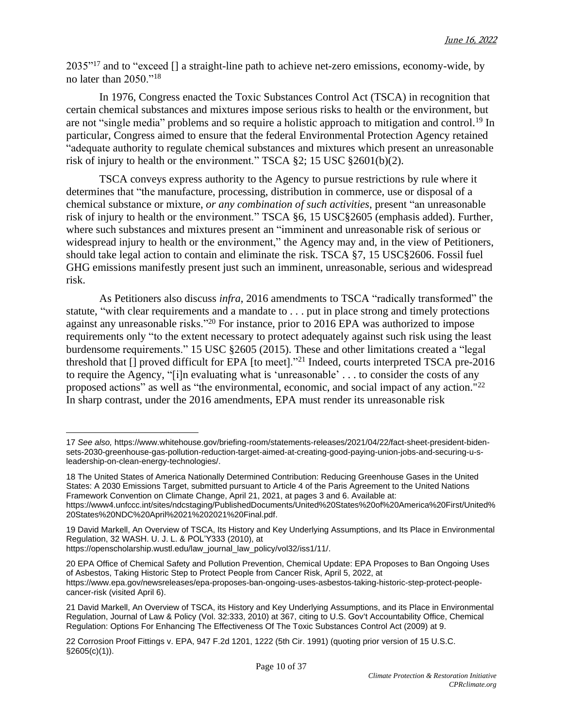$2035"^{17}$  and to "exceed  $\Box$  a straight-line path to achieve net-zero emissions, economy-wide, by no later than 2050."<sup>18</sup>

In 1976, Congress enacted the Toxic Substances Control Act (TSCA) in recognition that certain chemical substances and mixtures impose serious risks to health or the environment, but are not "single media" problems and so require a holistic approach to mitigation and control.<sup>19</sup> In particular, Congress aimed to ensure that the federal Environmental Protection Agency retained "adequate authority to regulate chemical substances and mixtures which present an unreasonable risk of injury to health or the environment." TSCA §2; 15 USC §2601(b)(2).

TSCA conveys express authority to the Agency to pursue restrictions by rule where it determines that "the manufacture, processing, distribution in commerce, use or disposal of a chemical substance or mixture, *or any combination of such activities*, present "an unreasonable risk of injury to health or the environment." TSCA §6, 15 USC§2605 (emphasis added). Further, where such substances and mixtures present an "imminent and unreasonable risk of serious or widespread injury to health or the environment," the Agency may and, in the view of Petitioners, should take legal action to contain and eliminate the risk. TSCA §7, 15 USC§2606. Fossil fuel GHG emissions manifestly present just such an imminent, unreasonable, serious and widespread risk.

As Petitioners also discuss *infra*, 2016 amendments to TSCA "radically transformed" the statute, "with clear requirements and a mandate to . . . put in place strong and timely protections against any unreasonable risks."<sup>20</sup> For instance, prior to 2016 EPA was authorized to impose requirements only "to the extent necessary to protect adequately against such risk using the least burdensome requirements." 15 USC §2605 (2015). These and other limitations created a "legal threshold that [] proved difficult for EPA [to meet]."<sup>21</sup> Indeed, courts interpreted TSCA pre-2016 to require the Agency, "[i]n evaluating what is 'unreasonable' . . . to consider the costs of any proposed actions" as well as "the environmental, economic, and social impact of any action."<sup>22</sup> In sharp contrast, under the 2016 amendments, EPA must render its unreasonable risk

<sup>17</sup> *See also,* [https://www.whitehouse.gov/briefing-room/statements-releases/2021/04/22/fact-sheet-president-biden](https://www.whitehouse.gov/briefing-room/statements-releases/2021/04/22/fact-sheet-president-biden-sets-2030-greenhouse-gas-pollution-reduction-target-aimed-at-creating-good-paying-union-jobs-and-securing-u-s-leadership-on-clean-energy-technologies/)[sets-2030-greenhouse-gas-pollution-reduction-target-aimed-at-creating-good-paying-union-jobs-and-securing-u-s](https://www.whitehouse.gov/briefing-room/statements-releases/2021/04/22/fact-sheet-president-biden-sets-2030-greenhouse-gas-pollution-reduction-target-aimed-at-creating-good-paying-union-jobs-and-securing-u-s-leadership-on-clean-energy-technologies/)[leadership-on-clean-energy-technologies/.](https://www.whitehouse.gov/briefing-room/statements-releases/2021/04/22/fact-sheet-president-biden-sets-2030-greenhouse-gas-pollution-reduction-target-aimed-at-creating-good-paying-union-jobs-and-securing-u-s-leadership-on-clean-energy-technologies/)

<sup>18</sup> The United States of America Nationally Determined Contribution: Reducing Greenhouse Gases in the United States: A 2030 Emissions Target, submitted pursuant to Article 4 of the Paris Agreement to the United Nations Framework Convention on Climate Change, April 21, 2021, at pages 3 and 6. Available at: [https://www4.unfccc.int/sites/ndcstaging/PublishedDocuments/United%20States%20of%20America%20First/United%](https://www4.unfccc.int/sites/ndcstaging/PublishedDocuments/United%2520States%2520of%2520America%2520First/United%2520States%2520NDC%2520April%252021%25202021%2520Final.pdf)

[<sup>20</sup>States%20NDC%20April%2021%202021%20Final.pdf.](https://www4.unfccc.int/sites/ndcstaging/PublishedDocuments/United%2520States%2520of%2520America%2520First/United%2520States%2520NDC%2520April%252021%25202021%2520Final.pdf)

<sup>19</sup> David Markell, An Overview of TSCA, Its History and Key Underlying Assumptions, and Its Place in Environmental Regulation, 32 WASH. U. J. L. & POL'Y333 (2010), at

[https://openscholarship.wustl.edu/law\\_journal\\_law\\_policy/vol32/iss1/11/.](https://openscholarship.wustl.edu/law_journal_law_policy/vol32/iss1/11/)

<sup>20</sup> EPA Office of Chemical Safety and Pollution Prevention, Chemical Update: EPA Proposes to Ban Ongoing Uses of Asbestos, Taking Historic Step to Protect People from Cancer Risk, April 5, 2022, at [https://www.epa.gov/newsreleases/epa-proposes-ban-ongoing-uses-asbestos-taking-historic-step-protect-people](https://www.epa.gov/newsreleases/epa-proposes-ban-ongoing-uses-asbestos-taking-historic-step-protect-people-cancer-risk)[cancer-risk](https://www.epa.gov/newsreleases/epa-proposes-ban-ongoing-uses-asbestos-taking-historic-step-protect-people-cancer-risk) (visited April 6).

<sup>21</sup> David Markell, An Overview of TSCA, its History and Key Underlying Assumptions, and its Place in Environmental Regulation, Journal of Law & Policy (Vol. 32:333, 2010) at 367, citing to U.S. Gov't Accountability Office, Chemical Regulation: Options For Enhancing The Effectiveness Of The Toxic Substances Control Act (2009) at 9.

<sup>22</sup> Corrosion Proof Fittings v. EPA, 947 F.2d 1201, 1222 (5th Cir. 1991) (quoting prior version of 15 U.S.C.  $§2605(c)(1)$ ).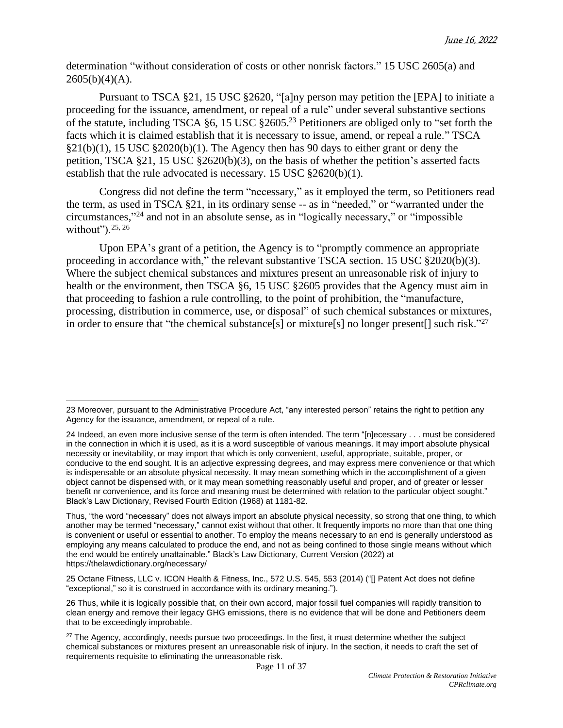determination "without consideration of costs or other nonrisk factors." 15 USC 2605(a) and  $2605(b)(4)(A)$ .

Pursuant to TSCA §21, 15 USC §2620, "[a]ny person may petition the [EPA] to initiate a proceeding for the issuance, amendment, or repeal of a rule" under several substantive sections of the statute, including TSCA §6, 15 USC §2605.<sup>23</sup> Petitioners are obliged only to "set forth the facts which it is claimed establish that it is necessary to issue, amend, or repeal a rule." TSCA  $§21(b)(1)$ , 15 USC  $§2020(b)(1)$ . The Agency then has 90 days to either grant or deny the petition, TSCA §21, 15 USC §2620(b)(3), on the basis of whether the petition's asserted facts establish that the rule advocated is necessary. 15 USC §2620(b)(1).

Congress did not define the term "necessary," as it employed the term, so Petitioners read the term, as used in TSCA §21, in its ordinary sense -- as in "needed," or "warranted under the circumstances," <sup>24</sup> and not in an absolute sense, as in "logically necessary," or "impossible without"). $25, 26$ 

Upon EPA's grant of a petition, the Agency is to "promptly commence an appropriate proceeding in accordance with," the relevant substantive TSCA section. 15 USC §2020(b)(3). Where the subject chemical substances and mixtures present an unreasonable risk of injury to health or the environment, then TSCA §6, 15 USC §2605 provides that the Agency must aim in that proceeding to fashion a rule controlling, to the point of prohibition, the "manufacture, processing, distribution in commerce, use, or disposal" of such chemical substances or mixtures, in order to ensure that "the chemical substance[s] or mixture[s] no longer present[] such risk."<sup>27</sup>

25 Octane Fitness, LLC v. ICON Health & Fitness, Inc., 572 U.S. 545, 553 (2014) ("[] Patent Act does not define "exceptional," so it is construed in accordance with its ordinary meaning.").

<sup>23</sup> Moreover, pursuant to the Administrative Procedure Act, "any interested person" retains the right to petition any Agency for the issuance, amendment, or repeal of a rule.

<sup>24</sup> Indeed, an even more inclusive sense of the term is often intended. The term "[n]ecessary . . . must be considered in the connection in which it is used, as it is a word susceptible of various meanings. It may import absolute physical necessity or inevitability, or may import that which is only convenient, useful, appropriate, suitable, proper, or conducive to the end sought. It is an adjective expressing degrees, and may express mere convenience or that which is indispensable or an absolute physical necessity. It may mean something which in the accomplishment of a given object cannot be dispensed with, or it may mean something reasonably useful and proper, and of greater or lesser benefit nr convenience, and its force and meaning must be determined with relation to the particular object sought." Black's Law Dictionary, Revised Fourth Edition (1968) at 1181-82.

Thus, "the word "necessary" does not always import an absolute physical necessity, so strong that one thing, to which another may be termed "necessary," cannot exist without that other. It frequently imports no more than that one thing is convenient or useful or essential to another. To employ the means necessary to an end is generally understood as employing any means calculated to produce the end, and not as being confined to those single means without which the end would be entirely unattainable." Black's Law Dictionary, Current Version (2022) at <https://thelawdictionary.org/necessary/>

<sup>26</sup> Thus, while it is logically possible that, on their own accord, major fossil fuel companies will rapidly transition to clean energy and remove their legacy GHG emissions, there is no evidence that will be done and Petitioners deem that to be exceedingly improbable.

<sup>&</sup>lt;sup>27</sup> The Agency, accordingly, needs pursue two proceedings. In the first, it must determine whether the subject chemical substances or mixtures present an unreasonable risk of injury. In the section, it needs to craft the set of requirements requisite to eliminating the unreasonable risk.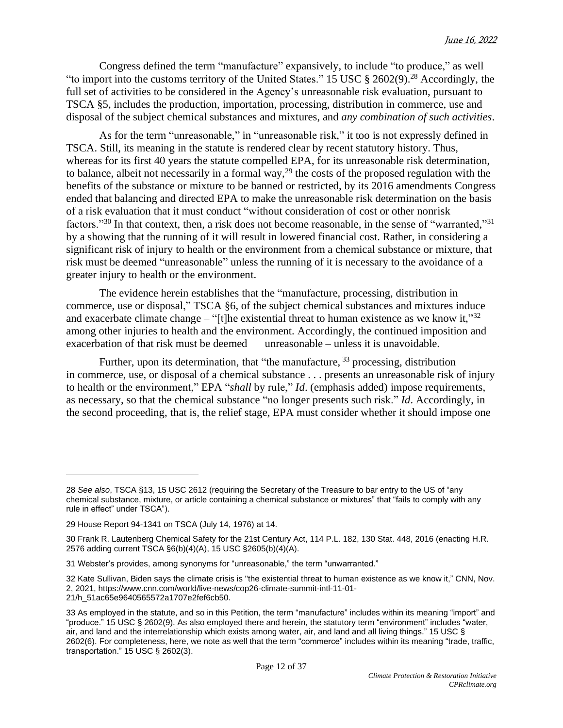Congress defined the term "manufacture" expansively, to include "to produce," as well "to import into the customs territory of the United States." 15 USC  $\S 2602(9)$ .<sup>28</sup> Accordingly, the full set of activities to be considered in the Agency's unreasonable risk evaluation, pursuant to TSCA §5, includes the production, importation, processing, distribution in commerce, use and disposal of the subject chemical substances and mixtures, and *any combination of such activities*.

As for the term "unreasonable," in "unreasonable risk," it too is not expressly defined in TSCA. Still, its meaning in the statute is rendered clear by recent statutory history. Thus, whereas for its first 40 years the statute compelled EPA, for its unreasonable risk determination, to balance, albeit not necessarily in a formal way,<sup>29</sup> the costs of the proposed regulation with the benefits of the substance or mixture to be banned or restricted, by its 2016 amendments Congress ended that balancing and directed EPA to make the unreasonable risk determination on the basis of a risk evaluation that it must conduct "without consideration of cost or other nonrisk factors."<sup>30</sup> In that context, then, a risk does not become reasonable, in the sense of "warranted,"<sup>31</sup> by a showing that the running of it will result in lowered financial cost. Rather, in considering a significant risk of injury to health or the environment from a chemical substance or mixture, that risk must be deemed "unreasonable" unless the running of it is necessary to the avoidance of a greater injury to health or the environment.

The evidence herein establishes that the "manufacture, processing, distribution in commerce, use or disposal," TSCA §6, of the subject chemical substances and mixtures induce and exacerbate climate change – "[t]he existential threat to human existence as we know it,"<sup>32</sup> among other injuries to health and the environment. Accordingly, the continued imposition and exacerbation of that risk must be deemed unreasonable – unless it is unavoidable.

Further, upon its determination, that "the manufacture,  $33$  processing, distribution in commerce, use, or disposal of a chemical substance . . . presents an unreasonable risk of injury to health or the environment," EPA "*shall* by rule," *Id*. (emphasis added) impose requirements, as necessary, so that the chemical substance "no longer presents such risk." *Id*. Accordingly, in the second proceeding, that is, the relief stage, EPA must consider whether it should impose one

<sup>28</sup> *See also*, TSCA §13, 15 USC 2612 (requiring the Secretary of the Treasure to bar entry to the US of "any chemical substance, mixture, or article containing a chemical substance or mixtures" that "fails to comply with any rule in effect" under TSCA").

<sup>29</sup> House Report 94-1341 on TSCA (July 14, 1976) at 14.

<sup>30</sup> Frank R. Lautenberg Chemical Safety for the 21st Century Act, 114 P.L. 182, 130 Stat. 448, 2016 (enacting H.R. 2576 adding current TSCA §6(b)(4)(A), 15 USC §2605(b)(4)(A).

<sup>31</sup> Webster's provides, among synonyms for "unreasonable," the term "unwarranted."

<sup>32</sup> Kate Sullivan, Biden says the climate crisis is "the existential threat to human existence as we know it," CNN, Nov. 2, 2021, [https://www.cnn.com/world/live-news/cop26-climate-summit-intl-11-01-](https://www.cnn.com/world/live-news/cop26-climate-summit-intl-11-01-21/h_51ac65e9640565572a1707e2fef6cb50) [21/h\\_51ac65e9640565572a1707e2fef6cb50.](https://www.cnn.com/world/live-news/cop26-climate-summit-intl-11-01-21/h_51ac65e9640565572a1707e2fef6cb50)

<sup>33</sup> As employed in the statute, and so in this Petition, the term "manufacture" includes within its meaning "import" and "produce." 15 USC § 2602(9). As also employed there and herein, the statutory term "environment" includes "water, air, and land and the interrelationship which exists among water, air, and land and all living things." 15 USC § 2602(6). For completeness, here, we note as well that the term "commerce" includes within its meaning "trade, traffic, transportation." 15 USC § 2602(3).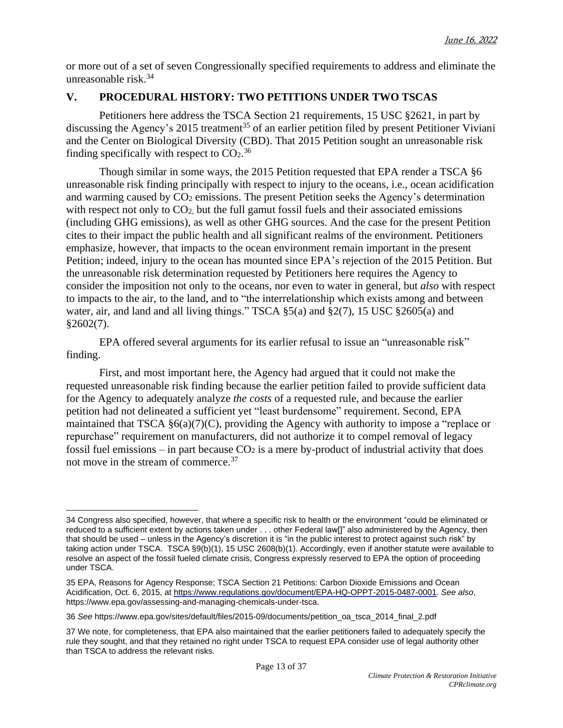or more out of a set of seven Congressionally specified requirements to address and eliminate the unreasonable risk.<sup>34</sup>

# **V. PROCEDURAL HISTORY: TWO PETITIONS UNDER TWO TSCAS**

Petitioners here address the TSCA Section 21 requirements, 15 USC §2621, in part by discussing the Agency's 2015 treatment<sup>35</sup> of an earlier petition filed by present Petitioner Viviani and the Center on Biological Diversity (CBD). That 2015 Petition sought an unreasonable risk finding specifically with respect to  $CO<sub>2</sub>$ .<sup>36</sup>

Though similar in some ways, the 2015 Petition requested that EPA render a TSCA §6 unreasonable risk finding principally with respect to injury to the oceans, i.e., ocean acidification and warming caused by  $CO<sub>2</sub>$  emissions. The present Petition seeks the Agency's determination with respect not only to  $CO<sub>2</sub>$ , but the full gamut fossil fuels and their associated emissions (including GHG emissions), as well as other GHG sources. And the case for the present Petition cites to their impact the public health and all significant realms of the environment. Petitioners emphasize, however, that impacts to the ocean environment remain important in the present Petition; indeed, injury to the ocean has mounted since EPA's rejection of the 2015 Petition. But the unreasonable risk determination requested by Petitioners here requires the Agency to consider the imposition not only to the oceans, nor even to water in general, but *also* with respect to impacts to the air, to the land, and to "the interrelationship which exists among and between water, air, and land and all living things." TSCA  $\S$ 5(a) and  $\S$ 2(7), 15 USC  $\S$ 2605(a) and  $§2602(7)$ .

EPA offered several arguments for its earlier refusal to issue an "unreasonable risk" finding.

First, and most important here, the Agency had argued that it could not make the requested unreasonable risk finding because the earlier petition failed to provide sufficient data for the Agency to adequately analyze *the costs* of a requested rule, and because the earlier petition had not delineated a sufficient yet "least burdensome" requirement. Second, EPA maintained that TSCA §6(a)(7)(C), providing the Agency with authority to impose a "replace or repurchase" requirement on manufacturers, did not authorize it to compel removal of legacy fossil fuel emissions – in part because  $CO<sub>2</sub>$  is a mere by-product of industrial activity that does not move in the stream of commerce.<sup>37</sup>

<sup>34</sup> Congress also specified, however, that where a specific risk to health or the environment "could be eliminated or reduced to a sufficient extent by actions taken under . . . other Federal law[]" also administered by the Agency, then that should be used – unless in the Agency's discretion it is "in the public interest to protect against such risk" by taking action under TSCA. TSCA §9(b)(1), 15 USC 2608(b)(1). Accordingly, even if another statute were available to resolve an aspect of the fossil fueled climate crisis, Congress expressly reserved to EPA the option of proceeding under TSCA.

<sup>35</sup> EPA, Reasons for Agency Response; TSCA Section 21 Petitions: Carbon Dioxide Emissions and Ocean Acidification, Oct. 6, 2015, at [https://www.regulations.gov/document/EPA-HQ-OPPT-2015-0487-0001.](https://www.regulations.gov/document/EPA-HQ-OPPT-2015-0487-0001) *See also*, [https://www.epa.gov/assessing-and-managing-chemicals-under-tsca.](https://www.epa.gov/assessing-and-managing-chemicals-under-tsca)

<sup>36</sup> *See* [https://www.epa.gov/sites/default/files/2015-09/documents/petition\\_oa\\_tsca\\_2014\\_final\\_2.pdf](https://www.epa.gov/sites/default/files/2015-09/documents/petition_oa_tsca_2014_final_2.pdf)

<sup>37</sup> We note, for completeness, that EPA also maintained that the earlier petitioners failed to adequately specify the rule they sought, and that they retained no right under TSCA to request EPA consider use of legal authority other than TSCA to address the relevant risks.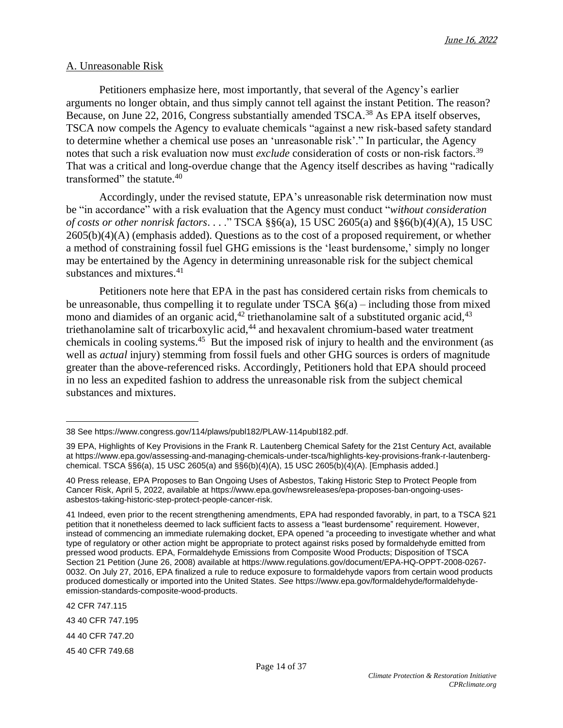#### A. Unreasonable Risk

Petitioners emphasize here, most importantly, that several of the Agency's earlier arguments no longer obtain, and thus simply cannot tell against the instant Petition. The reason? Because, on June 22, 2016, Congress substantially amended TSCA.<sup>38</sup> As EPA itself observes, TSCA now compels the Agency to evaluate chemicals "against a new risk-based safety standard to determine whether a chemical use poses an 'unreasonable risk'." In particular, the Agency notes that such a risk evaluation now must *exclude* consideration of costs or non-risk factors. 39 That was a critical and long-overdue change that the Agency itself describes as having "radically transformed" the statute.<sup>40</sup>

Accordingly, under the revised statute, EPA's unreasonable risk determination now must be "in accordance" with a risk evaluation that the Agency must conduct "*without consideration of costs or other nonrisk factors*. . . ." TSCA §§6(a), 15 USC 2605(a) and §§6(b)(4)(A), 15 USC  $2605(b)(4)(A)$  (emphasis added). Questions as to the cost of a proposed requirement, or whether a method of constraining fossil fuel GHG emissions is the 'least burdensome,' simply no longer may be entertained by the Agency in determining unreasonable risk for the subject chemical substances and mixtures. 41

Petitioners note here that EPA in the past has considered certain risks from chemicals to be unreasonable, thus compelling it to regulate under TSCA §6(a) – including those from mixed mono and diamides of an organic acid,  $42$  triethanolamine salt of a substituted organic acid,  $43$ triethanolamine salt of tricarboxylic acid,<sup>44</sup> and hexavalent chromium-based water treatment chemicals in cooling systems.<sup>45</sup> But the imposed risk of injury to health and the environment (as well as *actual* injury) stemming from fossil fuels and other GHG sources is orders of magnitude greater than the above-referenced risks. Accordingly, Petitioners hold that EPA should proceed in no less an expedited fashion to address the unreasonable risk from the subject chemical substances and mixtures.

42 CFR 747.115

43 40 CFR 747.195

44 40 CFR 747.20

45 40 CFR 749.68

<sup>38</sup> See [https://www.congress.gov/114/plaws/publ182/PLAW-114publ182.pdf.](https://www.congress.gov/114/plaws/publ182/PLAW-114publ182.pdf)

<sup>39</sup> EPA, Highlights of Key Provisions in the Frank R. Lautenberg Chemical Safety for the 21st Century Act, available at [https://www.epa.gov/assessing-and-managing-chemicals-under-tsca/highlights-key-provisions-frank-r-lautenberg](https://www.epa.gov/assessing-and-managing-chemicals-under-tsca/highlights-key-provisions-frank-r-lautenberg-chemical)[chemical.](https://www.epa.gov/assessing-and-managing-chemicals-under-tsca/highlights-key-provisions-frank-r-lautenberg-chemical) TSCA §§6(a), 15 USC 2605(a) and §§6(b)(4)(A), 15 USC 2605(b)(4)(A). [Emphasis added.]

<sup>40</sup> Press release, EPA Proposes to Ban Ongoing Uses of Asbestos, Taking Historic Step to Protect People from Cancer Risk, April 5, 2022, available at [https://www.epa.gov/newsreleases/epa-proposes-ban-ongoing-uses](https://www.epa.gov/newsreleases/epa-proposes-ban-ongoing-uses-asbestos-taking-historic-step-protect-people-cancer-risk)[asbestos-taking-historic-step-protect-people-cancer-risk.](https://www.epa.gov/newsreleases/epa-proposes-ban-ongoing-uses-asbestos-taking-historic-step-protect-people-cancer-risk)

<sup>41</sup> Indeed, even prior to the recent strengthening amendments, EPA had responded favorably, in part, to a TSCA §21 petition that it nonetheless deemed to lack sufficient facts to assess a "least burdensome" requirement. However, instead of commencing an immediate rulemaking docket, EPA opened "a proceeding to investigate whether and what type of regulatory or other action might be appropriate to protect against risks posed by formaldehyde emitted from pressed wood products. EPA, Formaldehyde Emissions from Composite Wood Products; Disposition of TSCA Section 21 Petition (June 26, 2008) available at [https://www.regulations.gov/document/EPA-HQ-OPPT-2008-0267-](https://www.regulations.gov/document/EPA-HQ-OPPT-2008-0267-0032) [0032.](https://www.regulations.gov/document/EPA-HQ-OPPT-2008-0267-0032) On July 27, 2016, EPA finalized a rule to reduce exposure to formaldehyde vapors from certain wood products produced domestically or imported into the United States. *See* [https://www.epa.gov/formaldehyde/formaldehyde](https://www.epa.gov/formaldehyde/formaldehyde-emission-standards-composite-wood-products)[emission-standards-composite-wood-products.](https://www.epa.gov/formaldehyde/formaldehyde-emission-standards-composite-wood-products)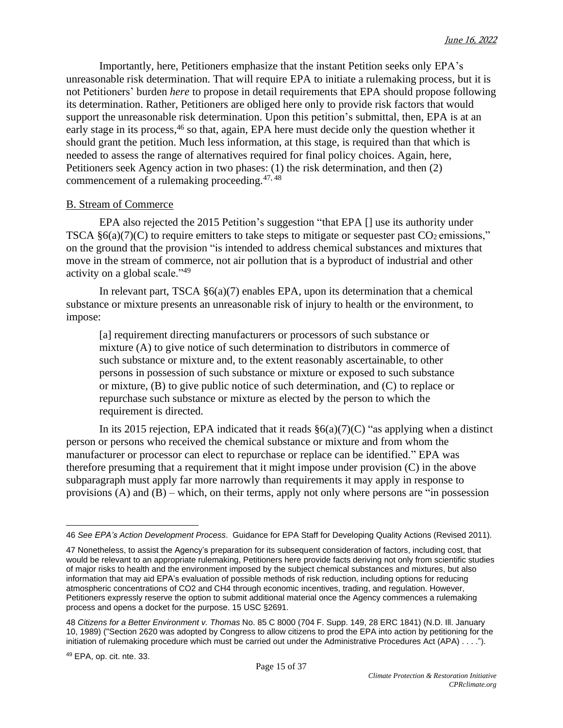Importantly, here, Petitioners emphasize that the instant Petition seeks only EPA's unreasonable risk determination. That will require EPA to initiate a rulemaking process, but it is not Petitioners' burden *here* to propose in detail requirements that EPA should propose following its determination. Rather, Petitioners are obliged here only to provide risk factors that would support the unreasonable risk determination. Upon this petition's submittal, then, EPA is at an early stage in its process,<sup>46</sup> so that, again, EPA here must decide only the question whether it should grant the petition. Much less information, at this stage, is required than that which is needed to assess the range of alternatives required for final policy choices. Again, here, Petitioners seek Agency action in two phases: (1) the risk determination, and then (2) commencement of a rulemaking proceeding.47, <sup>48</sup>

## B. Stream of Commerce

EPA also rejected the 2015 Petition's suggestion "that EPA [] use its authority under TSCA  $\S6(a)(7)(C)$  to require emitters to take steps to mitigate or sequester past CO<sub>2</sub> emissions," on the ground that the provision "is intended to address chemical substances and mixtures that move in the stream of commerce, not air pollution that is a byproduct of industrial and other activity on a global scale."<sup>49</sup>

In relevant part, TSCA  $\S6(a)(7)$  enables EPA, upon its determination that a chemical substance or mixture presents an unreasonable risk of injury to health or the environment, to impose:

[a] requirement directing manufacturers or processors of such substance or mixture (A) to give notice of such determination to distributors in commerce of such substance or mixture and, to the extent reasonably ascertainable, to other persons in possession of such substance or mixture or exposed to such substance or mixture, (B) to give public notice of such determination, and (C) to replace or repurchase such substance or mixture as elected by the person to which the requirement is directed.

In its 2015 rejection, EPA indicated that it reads  $\S6(a)(7)(C)$  "as applying when a distinct person or persons who received the chemical substance or mixture and from whom the manufacturer or processor can elect to repurchase or replace can be identified." EPA was therefore presuming that a requirement that it might impose under provision (C) in the above subparagraph must apply far more narrowly than requirements it may apply in response to provisions (A) and (B) – which, on their terms, apply not only where persons are "in possession

<sup>46</sup> *See EPA's Action Development Process*. Guidance for EPA Staff for Developing Quality Actions (Revised 2011).

<sup>47</sup> Nonetheless, to assist the Agency's preparation for its subsequent consideration of factors, including cost, that would be relevant to an appropriate rulemaking, Petitioners here provide facts deriving not only from scientific studies of major risks to health and the environment imposed by the subject chemical substances and mixtures, but also information that may aid EPA's evaluation of possible methods of risk reduction, including options for reducing atmospheric concentrations of CO2 and CH4 through economic incentives, trading, and regulation. However, Petitioners expressly reserve the option to submit additional material once the Agency commences a rulemaking process and opens a docket for the purpose. 15 USC §2691.

<sup>48</sup> *Citizens for a Better Environment v. Thomas* No. 85 C 8000 (704 F. Supp. 149, 28 ERC 1841) (N.D. Ill. January 10, 1989) ("Section 2620 was adopted by Congress to allow citizens to prod the EPA into action by petitioning for the initiation of rulemaking procedure which must be carried out under the Administrative Procedures Act (APA) . . . .").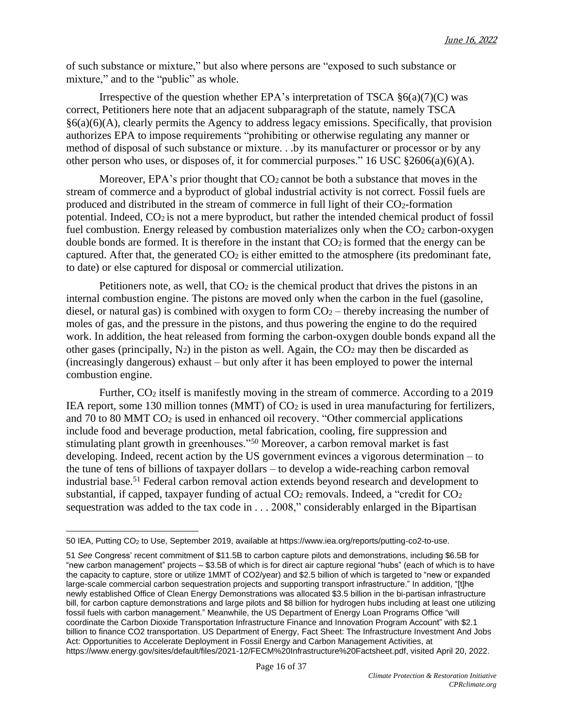of such substance or mixture," but also where persons are "exposed to such substance or mixture," and to the "public" as whole.

Irrespective of the question whether EPA's interpretation of TSCA  $\S6(a)(7)(C)$  was correct, Petitioners here note that an adjacent subparagraph of the statute, namely TSCA §6(a)(6)(A), clearly permits the Agency to address legacy emissions. Specifically, that provision authorizes EPA to impose requirements "prohibiting or otherwise regulating any manner or method of disposal of such substance or mixture. . .by its manufacturer or processor or by any other person who uses, or disposes of, it for commercial purposes." 16 USC §2606(a)(6)(A).

Moreover, EPA's prior thought that  $CO<sub>2</sub>$  cannot be both a substance that moves in the stream of commerce and a byproduct of global industrial activity is not correct. Fossil fuels are produced and distributed in the stream of commerce in full light of their  $CO<sub>2</sub>$ -formation potential. Indeed, CO<sup>2</sup> is not a mere byproduct, but rather the intended chemical product of fossil fuel combustion. Energy released by combustion materializes only when the  $CO<sub>2</sub>$  carbon-oxygen double bonds are formed. It is therefore in the instant that  $CO<sub>2</sub>$  is formed that the energy can be captured. After that, the generated  $CO<sub>2</sub>$  is either emitted to the atmosphere (its predominant fate, to date) or else captured for disposal or commercial utilization.

Petitioners note, as well, that  $CO<sub>2</sub>$  is the chemical product that drives the pistons in an internal combustion engine. The pistons are moved only when the carbon in the fuel (gasoline, diesel, or natural gas) is combined with oxygen to form  $CO<sub>2</sub>$  – thereby increasing the number of moles of gas, and the pressure in the pistons, and thus powering the engine to do the required work. In addition, the heat released from forming the carbon-oxygen double bonds expand all the other gases (principally,  $N_2$ ) in the piston as well. Again, the  $CO_2$  may then be discarded as (increasingly dangerous) exhaust – but only after it has been employed to power the internal combustion engine.

Further, CO<sub>2</sub> itself is manifestly moving in the stream of commerce. According to a 2019 IEA report, some 130 million tonnes (MMT) of CO<sub>2</sub> is used in urea manufacturing for fertilizers, and 70 to 80 MMT CO<sup>2</sup> is used in enhanced oil recovery. "Other commercial applications include food and beverage production, metal fabrication, cooling, fire suppression and stimulating plant growth in greenhouses."<sup>50</sup> Moreover, a carbon removal market is fast developing. Indeed, recent action by the US government evinces a vigorous determination – to the tune of tens of billions of taxpayer dollars – to develop a wide-reaching carbon removal industrial base.<sup>51</sup> Federal carbon removal action extends beyond research and development to substantial, if capped, taxpayer funding of actual  $CO<sub>2</sub>$  removals. Indeed, a "credit for  $CO<sub>2</sub>$ sequestration was added to the tax code in . . . 2008," considerably enlarged in the Bipartisan

<sup>50</sup> IEA, Putting CO<sup>2</sup> to Use, September 2019, available at [https://www.iea.org/reports/putting-co2-to-use.](https://www.iea.org/reports/putting-co2-to-use)

<sup>51</sup> *See* Congress' recent commitment of \$11.5B to carbon capture pilots and demonstrations, including \$6.5B for "new carbon management" projects – \$3.5B of which is for direct air capture regional "hubs" (each of which is to have the capacity to capture, store or utilize 1MMT of CO2/year) and \$2.5 billion of which is targeted to "new or expanded large-scale commercial carbon sequestration projects and supporting transport infrastructure." In addition, "[t]he newly established Office of Clean Energy Demonstrations was allocated \$3.5 billion in the bi-partisan infrastructure bill, for carbon capture demonstrations and large pilots and \$8 billion for hydrogen hubs including at least one utilizing fossil fuels with carbon management." Meanwhile, the US Department of Energy Loan Programs Office "will coordinate the Carbon Dioxide Transportation Infrastructure Finance and Innovation Program Account" with \$2.1 billion to finance CO2 transportation. US Department of Energy, Fact Sheet: The Infrastructure Investment And Jobs Act: Opportunities to Accelerate Deployment in Fossil Energy and Carbon Management Activities, at [https://www.energy.gov/sites/default/files/2021-12/FECM%20Infrastructure%20Factsheet.pdf,](https://www.energy.gov/sites/default/files/2021-12/FECM%2520Infrastructure%2520Factsheet.pdf) visited April 20, 2022.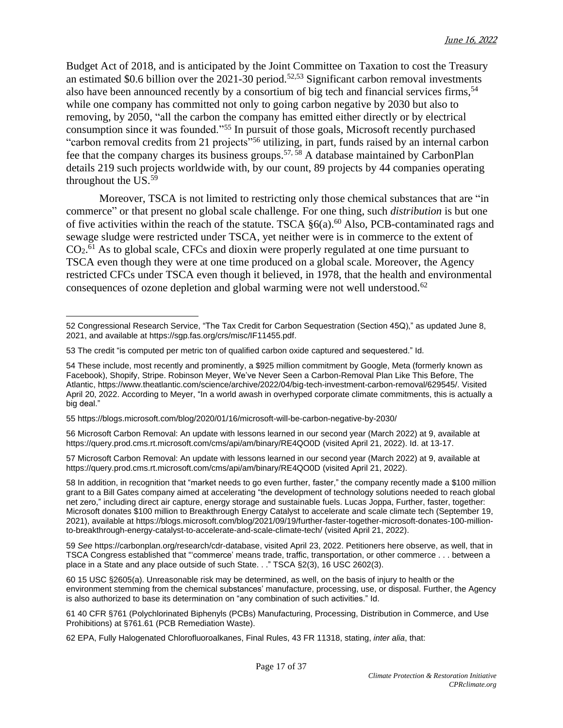Budget Act of 2018, and is anticipated by the Joint Committee on Taxation to cost the Treasury an estimated \$0.6 billion over the  $2021-30$  period.<sup>52,53</sup> Significant carbon removal investments also have been announced recently by a consortium of big tech and financial services firms,<sup>54</sup> while one company has committed not only to going carbon negative by 2030 but also to removing, by 2050, "all the carbon the company has emitted either directly or by electrical consumption since it was founded."<sup>55</sup> In pursuit of those goals, Microsoft recently purchased "carbon removal credits from 21 projects"<sup>56</sup> utilizing, in part, funds raised by an internal carbon fee that the company charges its business groups.57, <sup>58</sup> A database maintained by CarbonPlan details 219 such projects worldwide with, by our count, 89 projects by 44 companies operating throughout the US.<sup>59</sup>

Moreover, TSCA is not limited to restricting only those chemical substances that are "in commerce" or that present no global scale challenge. For one thing, such *distribution* is but one of five activities within the reach of the statute. TSCA  $\S6(a)$ .<sup>60</sup> Also, PCB-contaminated rags and sewage sludge were restricted under TSCA, yet neither were is in commerce to the extent of CO<sub>2</sub>.<sup>61</sup> As to global scale, CFCs and dioxin were properly regulated at one time pursuant to TSCA even though they were at one time produced on a global scale. Moreover, the Agency restricted CFCs under TSCA even though it believed, in 1978, that the health and environmental consequences of ozone depletion and global warming were not well understood.<sup>62</sup>

55 <https://blogs.microsoft.com/blog/2020/01/16/microsoft-will-be-carbon-negative-by-2030/>

56 Microsoft Carbon Removal: An update with lessons learned in our second year (March 2022) at 9, available at <https://query.prod.cms.rt.microsoft.com/cms/api/am/binary/RE4QO0D> (visited April 21, 2022). Id. at 13-17.

57 Microsoft Carbon Removal: An update with lessons learned in our second year (March 2022) at 9, available at <https://query.prod.cms.rt.microsoft.com/cms/api/am/binary/RE4QO0D> (visited April 21, 2022).

58 In addition, in recognition that "market needs to go even further, faster," the company recently made a \$100 million grant to a Bill Gates company aimed at accelerating "the development of technology solutions needed to reach global net zero," including direct air capture, energy storage and sustainable fuels. Lucas Joppa, Further, faster, together: Microsoft donates \$100 million to Breakthrough Energy Catalyst to accelerate and scale climate tech (September 19, 2021), available at [https://blogs.microsoft.com/blog/2021/09/19/further-faster-together-microsoft-donates-100-million](https://blogs.microsoft.com/blog/2021/09/19/further-faster-together-microsoft-donates-100-million-to-breakthrough-energy-catalyst-to-accelerate-and-scale-climate-tech/)[to-breakthrough-energy-catalyst-to-accelerate-and-scale-climate-tech/](https://blogs.microsoft.com/blog/2021/09/19/further-faster-together-microsoft-donates-100-million-to-breakthrough-energy-catalyst-to-accelerate-and-scale-climate-tech/) (visited April 21, 2022).

59 *See* [https://carbonplan.org/research/cdr-database,](https://carbonplan.org/research/cdr-database) visited April 23, 2022. Petitioners here observe, as well, that in TSCA Congress established that "'commerce' means trade, traffic, transportation, or other commerce . . . between a place in a State and any place outside of such State. . ." TSCA §2(3), 16 USC 2602(3).

60 15 USC §2605(a). Unreasonable risk may be determined, as well, on the basis of injury to health or the environment stemming from the chemical substances' manufacture, processing, use, or disposal. Further, the Agency is also authorized to base its determination on "any combination of such activities." Id.

61 40 CFR §761 (Polychlorinated Biphenyls (PCBs) Manufacturing, Processing, Distribution in Commerce, and Use Prohibitions) at §761.61 (PCB Remediation Waste).

62 EPA, Fully Halogenated Chlorofluoroalkanes, Final Rules, 43 FR 11318, stating, *inter alia*, that:

<sup>52</sup> Congressional Research Service, "The Tax Credit for Carbon Sequestration (Section 45Q)," as updated June 8, 2021, and available at [https://sgp.fas.org/crs/misc/IF11455.pdf.](https://sgp.fas.org/crs/misc/IF11455.pdf)

<sup>53</sup> The credit "is computed per metric ton of qualified carbon oxide captured and sequestered." Id.

<sup>54</sup> These include, most recently and prominently, a \$925 million commitment by Google, Meta (formerly known as Facebook), Shopify, Stripe. Robinson Meyer, We've Never Seen a Carbon-Removal Plan Like This Before, The Atlantic, [https://www.theatlantic.com/science/archive/2022/04/big-tech-investment-carbon-removal/629545/.](https://www.theatlantic.com/science/archive/2022/04/big-tech-investment-carbon-removal/629545/) Visited April 20, 2022. According to Meyer, "In a world awash in overhyped corporate climate commitments, this is actually a big deal."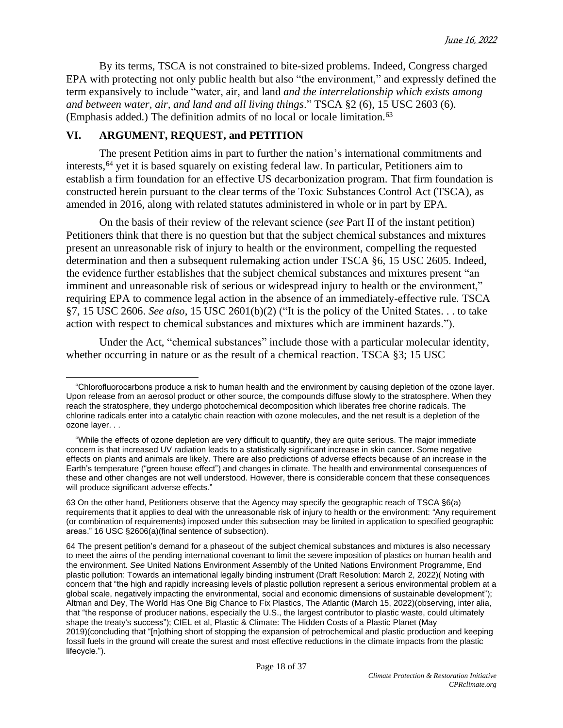By its terms, TSCA is not constrained to bite-sized problems. Indeed, Congress charged EPA with protecting not only public health but also "the environment," and expressly defined the term expansively to include "water, air, and land *and the interrelationship which exists among and between water, air, and land and all living things*." TSCA §2 (6), 15 USC 2603 (6). (Emphasis added.) The definition admits of no local or locale limitation.<sup>63</sup>

## **VI. ARGUMENT, REQUEST, and PETITION**

The present Petition aims in part to further the nation's international commitments and interests,<sup>64</sup> yet it is based squarely on existing federal law. In particular, Petitioners aim to establish a firm foundation for an effective US decarbonization program. That firm foundation is constructed herein pursuant to the clear terms of the Toxic Substances Control Act (TSCA), as amended in 2016, along with related statutes administered in whole or in part by EPA.

On the basis of their review of the relevant science (*see* Part II of the instant petition) Petitioners think that there is no question but that the subject chemical substances and mixtures present an unreasonable risk of injury to health or the environment, compelling the requested determination and then a subsequent rulemaking action under TSCA §6, 15 USC 2605. Indeed, the evidence further establishes that the subject chemical substances and mixtures present "an imminent and unreasonable risk of serious or widespread injury to health or the environment," requiring EPA to commence legal action in the absence of an immediately-effective rule. TSCA §7, 15 USC 2606. *See also*, 15 USC 2601(b)(2) ("It is the policy of the United States. . . to take action with respect to chemical substances and mixtures which are imminent hazards.").

Under the Act, "chemical substances" include those with a particular molecular identity, whether occurring in nature or as the result of a chemical reaction. TSCA §3; 15 USC

 <sup>&</sup>quot;Chlorofluorocarbons produce a risk to human health and the environment by causing depletion of the ozone layer. Upon release from an aerosol product or other source, the compounds diffuse slowly to the stratosphere. When they reach the stratosphere, they undergo photochemical decomposition which liberates free chorine radicals. The chlorine radicals enter into a catalytic chain reaction with ozone molecules, and the net result is a depletion of the ozone layer. . .

 <sup>&</sup>quot;While the effects of ozone depletion are very difficult to quantify, they are quite serious. The major immediate concern is that increased UV radiation leads to a statistically significant increase in skin cancer. Some negative effects on plants and animals are likely. There are also predictions of adverse effects because of an increase in the Earth's temperature ("green house effect") and changes in climate. The health and environmental consequences of these and other changes are not well understood. However, there is considerable concern that these consequences will produce significant adverse effects."

<sup>63</sup> On the other hand, Petitioners observe that the Agency may specify the geographic reach of TSCA §6(a) requirements that it applies to deal with the unreasonable risk of injury to health or the environment: "Any requirement (or combination of requirements) imposed under this subsection may be limited in application to specified geographic areas." 16 USC §2606(a)(final sentence of subsection).

<sup>64</sup> The present petition's demand for a phaseout of the subject chemical substances and mixtures is also necessary to meet the aims of the pending international covenant to limit the severe imposition of plastics on human health and the environment. *See* United Nations Environment Assembly of the United Nations Environment Programme, [End](https://wedocs.unep.org/handle/20.500.11822/38525) plastic pollution: Towards an [international](https://wedocs.unep.org/handle/20.500.11822/38525) legally binding instrument (Draft Resolution: March 2, 2022)( Noting with concern that "the high and rapidly increasing levels of plastic pollution represent a serious environmental problem at a global scale, negatively impacting the environmental, social and economic dimensions of sustainable development"); Altman and Dey, The World Has One Big Chance to Fix [Plastics,](https://www.theatlantic.com/science/archive/2022/03/plastic-pollution-treaty-un-environmental-assembly/627066/) The Atlantic (March 15, 2022)(observing, inter alia, that "the response of producer nations, especially the U.S., the [largest](https://www.nationalacademies.org/our-work/united-states-contributions-to-global-ocean-plastic-waste) contributor to plastic waste, could ultimately shape the treaty's success"); CIEL et al, Plastic & [Climate:](https://www.ciel.org/plasticandclimate/) The Hidden Costs of a Plastic Planet (May 2019)(concluding that "[n]othing short of stopping the expansion of petrochemical and plastic production and keeping fossil fuels in the ground will create the surest and most effective reductions in the climate impacts from the plastic lifecycle.").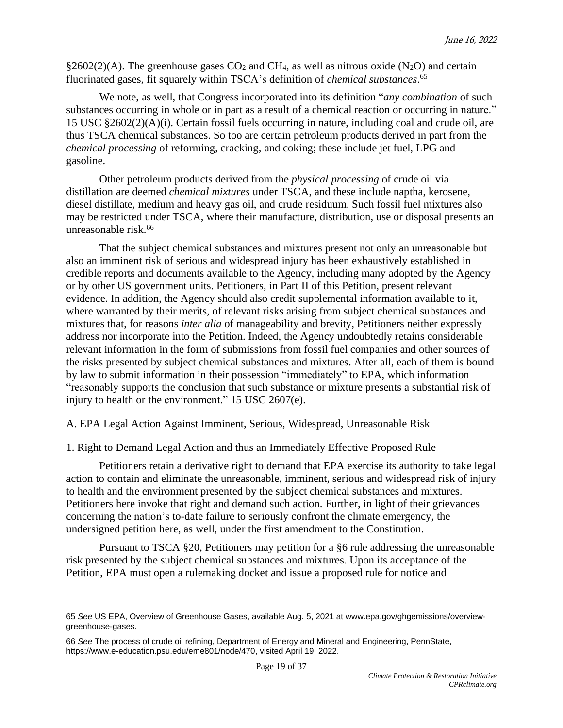$\S2602(2)(A)$ . The greenhouse gases CO<sub>2</sub> and CH<sub>4</sub>, as well as nitrous oxide (N<sub>2</sub>O) and certain fluorinated gases, fit squarely within TSCA's definition of *chemical substances*. 65

We note, as well, that Congress incorporated into its definition "*any combination* of such substances occurring in whole or in part as a result of a chemical reaction or occurring in nature." 15 USC §2602(2)(A)(i). Certain fossil fuels occurring in nature, including coal and crude oil, are thus TSCA chemical substances. So too are certain petroleum products derived in part from the *chemical processing* of reforming, cracking, and coking; these include jet fuel, LPG and gasoline.

Other petroleum products derived from the *physical processing* of crude oil via distillation are deemed *chemical mixtures* under TSCA, and these include naptha, kerosene, diesel distillate, medium and heavy gas oil, and crude residuum. Such fossil fuel mixtures also may be restricted under TSCA, where their manufacture, distribution, use or disposal presents an unreasonable risk.<sup>66</sup>

That the subject chemical substances and mixtures present not only an unreasonable but also an imminent risk of serious and widespread injury has been exhaustively established in credible reports and documents available to the Agency, including many adopted by the Agency or by other US government units. Petitioners, in Part II of this Petition, present relevant evidence. In addition, the Agency should also credit supplemental information available to it, where warranted by their merits, of relevant risks arising from subject chemical substances and mixtures that, for reasons *inter alia* of manageability and brevity, Petitioners neither expressly address nor incorporate into the Petition. Indeed, the Agency undoubtedly retains considerable relevant information in the form of submissions from fossil fuel companies and other sources of the risks presented by subject chemical substances and mixtures. After all, each of them is bound by law to submit information in their possession "immediately" to EPA, which information "reasonably supports the conclusion that such substance or mixture presents a substantial risk of injury to health or the environment." 15 USC 2607(e).

## A. EPA Legal Action Against Imminent, Serious, Widespread, Unreasonable Risk

1. Right to Demand Legal Action and thus an Immediately Effective Proposed Rule

Petitioners retain a derivative right to demand that EPA exercise its authority to take legal action to contain and eliminate the unreasonable, imminent, serious and widespread risk of injury to health and the environment presented by the subject chemical substances and mixtures. Petitioners here invoke that right and demand such action. Further, in light of their grievances concerning the nation's to-date failure to seriously confront the climate emergency, the undersigned petition here, as well, under the first amendment to the Constitution.

Pursuant to TSCA §20, Petitioners may petition for a §6 rule addressing the unreasonable risk presented by the subject chemical substances and mixtures. Upon its acceptance of the Petition, EPA must open a rulemaking docket and issue a proposed rule for notice and

<sup>65</sup> *See* US EPA, Overview of Greenhouse Gases, available Aug. 5, 2021 at [www.epa.gov/ghgemissions/overview](http://www.epa.gov/ghgemissions/overview-greenhouse-gases)[greenhouse-gases.](http://www.epa.gov/ghgemissions/overview-greenhouse-gases)

<sup>66</sup> *See* The process of crude oil refining, Department of Energy and Mineral and Engineering, PennState, [https://www.e-education.psu.edu/eme801/node/470,](https://www.e-education.psu.edu/eme801/node/470) visited April 19, 2022.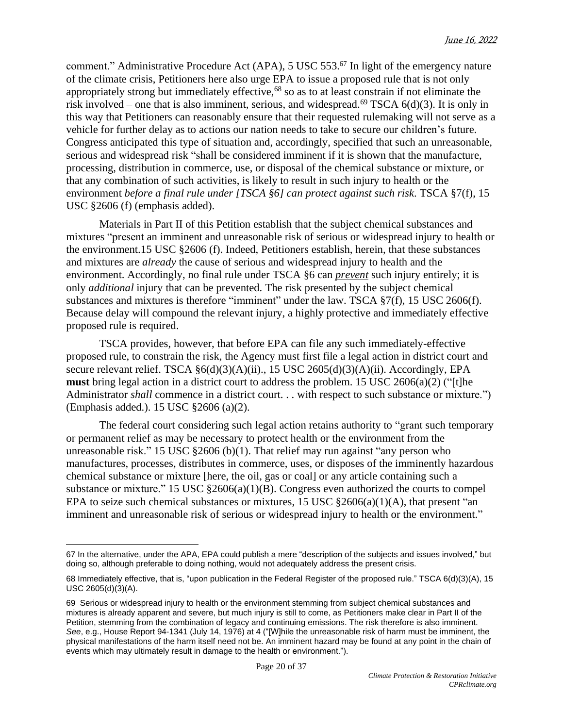comment." Administrative Procedure Act (APA),  $5 \text{ USC } 553$ .<sup>67</sup> In light of the emergency nature of the climate crisis, Petitioners here also urge EPA to issue a proposed rule that is not only appropriately strong but immediately effective,<sup>68</sup> so as to at least constrain if not eliminate the risk involved – one that is also imminent, serious, and widespread.<sup>69</sup> TSCA  $6(d)(3)$ . It is only in this way that Petitioners can reasonably ensure that their requested rulemaking will not serve as a vehicle for further delay as to actions our nation needs to take to secure our children's future. Congress anticipated this type of situation and, accordingly, specified that such an unreasonable, serious and widespread risk "shall be considered imminent if it is shown that the manufacture, processing, distribution in commerce, use, or disposal of the chemical substance or mixture, or that any combination of such activities, is likely to result in such injury to health or the environment *before a final rule under [TSCA §6] can protect against such risk*. TSCA §7(f), 15 USC §2606 (f) (emphasis added).

Materials in Part II of this Petition establish that the subject chemical substances and mixtures "present an imminent and unreasonable risk of serious or widespread injury to health or the environment.15 USC §2606 (f). Indeed, Petitioners establish, herein, that these substances and mixtures are *already* the cause of serious and widespread injury to health and the environment. Accordingly, no final rule under TSCA §6 can *prevent* such injury entirely; it is only *additional* injury that can be prevented. The risk presented by the subject chemical substances and mixtures is therefore "imminent" under the law. TSCA §7(f), 15 USC 2606(f). Because delay will compound the relevant injury, a highly protective and immediately effective proposed rule is required.

TSCA provides, however, that before EPA can file any such immediately-effective proposed rule, to constrain the risk, the Agency must first file a legal action in district court and secure relevant relief. TSCA  $\S6(d)(3)(A)(ii)$ ., 15 USC 2605(d)(3)(A)(ii). Accordingly, EPA **must** bring legal action in a district court to address the problem. 15 USC 2606(a)(2) ("[t]he Administrator *shall* commence in a district court. . . with respect to such substance or mixture.") (Emphasis added.). 15 USC §2606 (a)(2).

The federal court considering such legal action retains authority to "grant such temporary or permanent relief as may be necessary to protect health or the environment from the unreasonable risk." 15 USC §2606 (b)(1). That relief may run against "any person who manufactures, processes, distributes in commerce, uses, or disposes of the imminently hazardous chemical substance or mixture [here, the oil, gas or coal] or any article containing such a substance or mixture." 15 USC  $\S2606(a)(1)(B)$ . Congress even authorized the courts to compel EPA to seize such chemical substances or mixtures,  $15 \text{ USC} \text{ } $2606(a)(1)(A)$ , that present "an imminent and unreasonable risk of serious or widespread injury to health or the environment."

<sup>67</sup> In the alternative, under the APA, EPA could publish a mere "description of the subjects and issues involved," but doing so, although preferable to doing nothing, would not adequately address the present crisis.

<sup>68</sup> Immediately effective, that is, "upon publication in the Federal Register of the proposed rule." TSCA 6(d)(3)(A), 15 USC 2605(d)(3)(A).

<sup>69</sup> Serious or widespread injury to health or the environment stemming from subject chemical substances and mixtures is already apparent and severe, but much injury is still to come, as Petitioners make clear in Part II of the Petition, stemming from the combination of legacy and continuing emissions. The risk therefore is also imminent. See, e.g., House Report 94-1341 (July 14, 1976) at 4 ("[W]hile the unreasonable risk of harm must be imminent, the physical manifestations of the harm itself need not be. An imminent hazard may be found at any point in the chain of events which may ultimately result in damage to the health or environment.").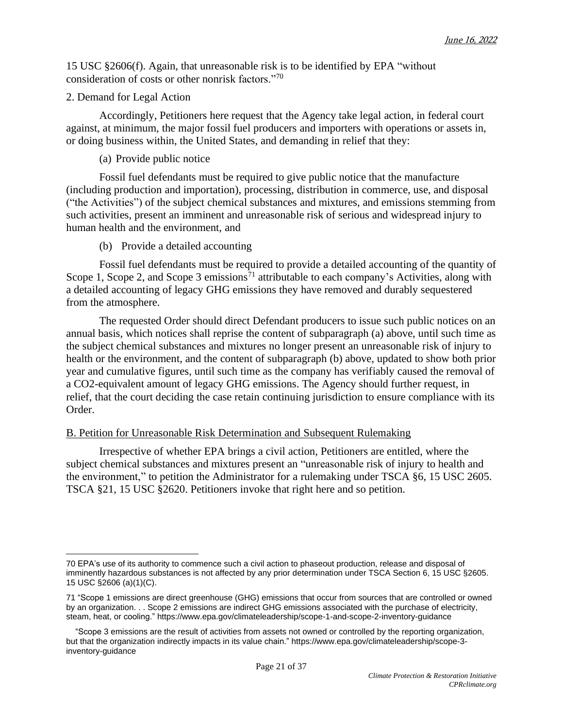15 USC §2606(f). Again, that unreasonable risk is to be identified by EPA "without consideration of costs or other nonrisk factors."<sup>70</sup>

#### 2. Demand for Legal Action

Accordingly, Petitioners here request that the Agency take legal action, in federal court against, at minimum, the major fossil fuel producers and importers with operations or assets in, or doing business within, the United States, and demanding in relief that they:

#### (a) Provide public notice

Fossil fuel defendants must be required to give public notice that the manufacture (including production and importation), processing, distribution in commerce, use, and disposal ("the Activities") of the subject chemical substances and mixtures, and emissions stemming from such activities, present an imminent and unreasonable risk of serious and widespread injury to human health and the environment, and

(b) Provide a detailed accounting

Fossil fuel defendants must be required to provide a detailed accounting of the quantity of Scope 1, Scope 2, and Scope 3 emissions<sup>71</sup> attributable to each company's Activities, along with a detailed accounting of legacy GHG emissions they have removed and durably sequestered from the atmosphere.

The requested Order should direct Defendant producers to issue such public notices on an annual basis, which notices shall reprise the content of subparagraph (a) above, until such time as the subject chemical substances and mixtures no longer present an unreasonable risk of injury to health or the environment, and the content of subparagraph (b) above, updated to show both prior year and cumulative figures, until such time as the company has verifiably caused the removal of a CO2-equivalent amount of legacy GHG emissions. The Agency should further request, in relief, that the court deciding the case retain continuing jurisdiction to ensure compliance with its Order.

#### B. Petition for Unreasonable Risk Determination and Subsequent Rulemaking

Irrespective of whether EPA brings a civil action, Petitioners are entitled, where the subject chemical substances and mixtures present an "unreasonable risk of injury to health and the environment," to petition the Administrator for a rulemaking under TSCA §6, 15 USC 2605. TSCA §21, 15 USC §2620. Petitioners invoke that right here and so petition.

<sup>70</sup> EPA's use of its authority to commence such a civil action to phaseout production, release and disposal of imminently hazardous substances is not affected by any prior determination under TSCA Section 6, 15 USC §2605. 15 USC §2606 (a)(1)(C).

<sup>71</sup> "Scope 1 emissions are direct greenhouse (GHG) emissions that occur from sources that are controlled or owned by an organization. . . Scope 2 emissions are indirect GHG emissions associated with the purchase of electricity, steam, heat, or cooling." <https://www.epa.gov/climateleadership/scope-1-and-scope-2-inventory-guidance>

 <sup>&</sup>quot;Scope 3 emissions are the result of activities from assets not owned or controlled by the reporting organization, but that the organization indirectly impacts in its value chain." https://www.epa.gov/climateleadership/scope-3 inventory-guidance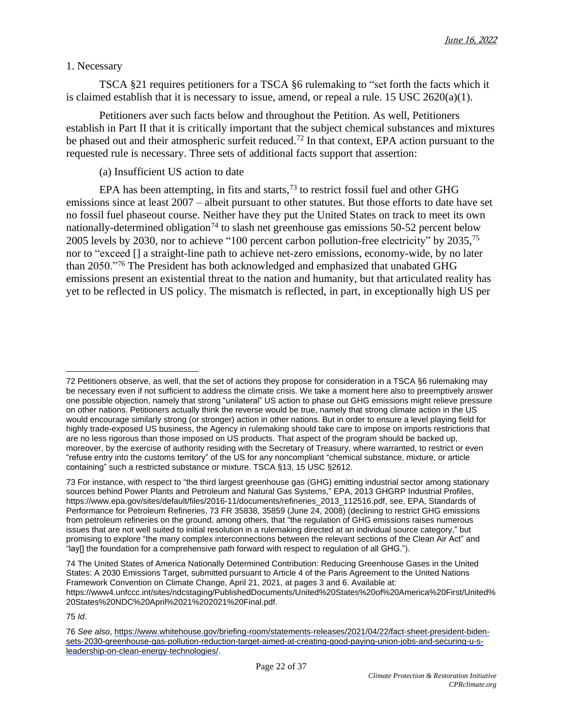## 1. Necessary

TSCA §21 requires petitioners for a TSCA §6 rulemaking to "set forth the facts which it is claimed establish that it is necessary to issue, amend, or repeal a rule. 15 USC 2620(a)(1).

Petitioners aver such facts below and throughout the Petition. As well, Petitioners establish in Part II that it is critically important that the subject chemical substances and mixtures be phased out and their atmospheric surfeit reduced.<sup>72</sup> In that context, EPA action pursuant to the requested rule is necessary. Three sets of additional facts support that assertion:

## (a) Insufficient US action to date

EPA has been attempting, in fits and starts,  $^{73}$  to restrict fossil fuel and other GHG emissions since at least 2007 – albeit pursuant to other statutes. But those efforts to date have set no fossil fuel phaseout course. Neither have they put the United States on track to meet its own nationally-determined obligation<sup>74</sup> to slash net greenhouse gas emissions 50-52 percent below 2005 levels by 2030, nor to achieve "100 percent carbon pollution-free electricity" by 2035,<sup>75</sup> nor to "exceed [] a straight-line path to achieve net-zero emissions, economy-wide, by no later than 2050."<sup>76</sup> The President has both acknowledged and emphasized that unabated GHG emissions present an existential threat to the nation and humanity, but that articulated reality has yet to be reflected in US policy. The mismatch is reflected, in part, in exceptionally high US per

75 *Id*.

<sup>72</sup> Petitioners observe, as well, that the set of actions they propose for consideration in a TSCA §6 rulemaking may be necessary even if not sufficient to address the climate crisis. We take a moment here also to preemptively answer one possible objection, namely that strong "unilateral" US action to phase out GHG emissions might relieve pressure on other nations. Petitioners actually think the reverse would be true, namely that strong climate action in the US would encourage similarly strong (or stronger) action in other nations. But in order to ensure a level playing field for highly trade-exposed US business, the Agency in rulemaking should take care to impose on imports restrictions that are no less rigorous than those imposed on US products. That aspect of the program should be backed up, moreover, by the exercise of authority residing with the Secretary of Treasury, where warranted, to restrict or even "refuse entry into the customs territory" of the US for any noncompliant "chemical substance, mixture, or article containing" such a restricted substance or mixture. TSCA §13, 15 USC §2612.

<sup>73</sup> For instance, with respect to "the third largest greenhouse gas (GHG) emitting industrial sector among stationary sources behind Power Plants and Petroleum and Natural Gas Systems," EPA, 2013 GHGRP Industrial Profiles, [https://www.epa.gov/sites/default/files/2016-11/documents/refineries\\_2013\\_112516.pdf,](https://www.epa.gov/sites/default/files/2016-11/documents/refineries_2013_112516.pdf) see, EPA, Standards of Performance for Petroleum Refineries, 73 FR 35838, 35859 (June 24, 2008) (declining to restrict GHG emissions from petroleum refineries on the ground, among others, that "the regulation of GHG emissions raises numerous issues that are not well suited to initial resolution in a rulemaking directed at an individual source category," but promising to explore "the many complex interconnections between the relevant sections of the Clean Air Act" and "lay[] the foundation for a comprehensive path forward with respect to regulation of all GHG.").

<sup>74</sup> The United States of America Nationally Determined Contribution: Reducing Greenhouse Gases in the United States: A 2030 Emissions Target, submitted pursuant to Article 4 of the Paris Agreement to the United Nations Framework Convention on Climate Change, April 21, 2021, at pages 3 and 6. Available at: [https://www4.unfccc.int/sites/ndcstaging/PublishedDocuments/United%20States%20of%20America%20First/United%](https://www4.unfccc.int/sites/ndcstaging/PublishedDocuments/United%2520States%2520of%2520America%2520First/United%2520States%2520NDC%2520April%252021%25202021%2520Final.pdf) [20States%20NDC%20April%2021%202021%20Final.pdf.](https://www4.unfccc.int/sites/ndcstaging/PublishedDocuments/United%2520States%2520of%2520America%2520First/United%2520States%2520NDC%2520April%252021%25202021%2520Final.pdf)

<sup>76</sup> *See also*, [https://www.whitehouse.gov/briefing-room/statements-releases/2021/04/22/fact-sheet-president-biden](https://www.whitehouse.gov/briefing-room/statements-releases/2021/04/22/fact-sheet-president-biden-sets-2030-greenhouse-gas-pollution-reduction-target-aimed-at-creating-good-paying-union-jobs-and-securing-u-s-leadership-on-clean-energy-technologies/)[sets-2030-greenhouse-gas-pollution-reduction-target-aimed-at-creating-good-paying-union-jobs-and-securing-u-s](https://www.whitehouse.gov/briefing-room/statements-releases/2021/04/22/fact-sheet-president-biden-sets-2030-greenhouse-gas-pollution-reduction-target-aimed-at-creating-good-paying-union-jobs-and-securing-u-s-leadership-on-clean-energy-technologies/)[leadership-on-clean-energy-technologies/.](https://www.whitehouse.gov/briefing-room/statements-releases/2021/04/22/fact-sheet-president-biden-sets-2030-greenhouse-gas-pollution-reduction-target-aimed-at-creating-good-paying-union-jobs-and-securing-u-s-leadership-on-clean-energy-technologies/)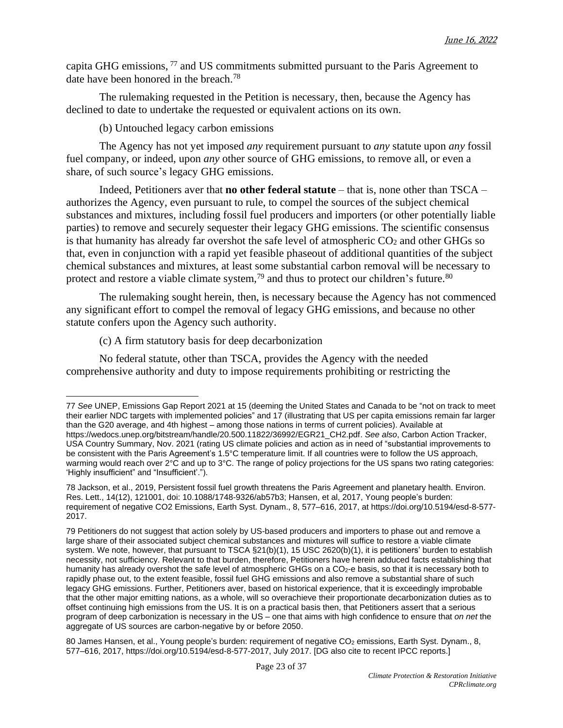capita GHG emissions, <sup>77</sup> and US commitments submitted pursuant to the Paris Agreement to date have been honored in the breach. 78

The rulemaking requested in the Petition is necessary, then, because the Agency has declined to date to undertake the requested or equivalent actions on its own.

(b) Untouched legacy carbon emissions

The Agency has not yet imposed *any* requirement pursuant to *any* statute upon *any* fossil fuel company, or indeed, upon *any* other source of GHG emissions, to remove all, or even a share, of such source's legacy GHG emissions.

Indeed, Petitioners aver that **no other federal statute** – that is, none other than TSCA – authorizes the Agency, even pursuant to rule, to compel the sources of the subject chemical substances and mixtures, including fossil fuel producers and importers (or other potentially liable parties) to remove and securely sequester their legacy GHG emissions. The scientific consensus is that humanity has already far overshot the safe level of atmospheric  $CO<sub>2</sub>$  and other GHGs so that, even in conjunction with a rapid yet feasible phaseout of additional quantities of the subject chemical substances and mixtures, at least some substantial carbon removal will be necessary to protect and restore a viable climate system,<sup>79</sup> and thus to protect our children's future.<sup>80</sup>

The rulemaking sought herein, then, is necessary because the Agency has not commenced any significant effort to compel the removal of legacy GHG emissions, and because no other statute confers upon the Agency such authority.

(c) A firm statutory basis for deep decarbonization

No federal statute, other than TSCA, provides the Agency with the needed comprehensive authority and duty to impose requirements prohibiting or restricting the

<sup>77</sup> *See* UNEP, Emissions Gap Report 2021 at 15 (deeming the United States and Canada to be "not on track to meet their earlier NDC targets with implemented policies" and 17 (illustrating that US per capita emissions remain far larger than the G20 average, and 4th highest – among those nations in terms of current policies). Available at [https://wedocs.unep.org/bitstream/handle/20.500.11822/36992/EGR21\\_CH2.pdf.](https://wedocs.unep.org/bitstream/handle/20.500.11822/36992/EGR21_CH2.pdf) *See also*, Carbon Action Tracker, USA Country Summary, Nov. 2021 (rating US climate policies and action as in need of "substantial improvements to be consistent with the Paris Agreement's 1.5°C temperature limit. If all countries were to follow the US approach, warming would reach over 2°C and up to 3°C. The range of policy projections for the US spans two rating categories: 'Highly insufficient" and "Insufficient'.").

<sup>78</sup> Jackson, et al., 2019, Persistent fossil fuel growth threatens the Paris Agreement and planetary health. Environ. Res. Lett., 14(12), 121001, doi: 10.1088/1748-9326/ab57b3; Hansen, et al, 2017, Young people's burden: requirement of negative CO2 Emissions, Earth Syst. Dynam., 8, 577–616, 2017, at [https://doi.org/10.5194/esd-8-577-](https://doi.org/10.5194/esd-8-577-2017) [2017.](https://doi.org/10.5194/esd-8-577-2017)

<sup>79</sup> Petitioners do not suggest that action solely by US-based producers and importers to phase out and remove a large share of their associated subject chemical substances and mixtures will suffice to restore a viable climate system. We note, however, that pursuant to TSCA §21(b)(1), 15 USC 2620(b)(1), it is petitioners' burden to establish necessity, not sufficiency. Relevant to that burden, therefore, Petitioners have herein adduced facts establishing that humanity has already overshot the safe level of atmospheric GHGs on a CO<sub>2</sub>-e basis, so that it is necessary both to rapidly phase out, to the extent feasible, fossil fuel GHG emissions and also remove a substantial share of such legacy GHG emissions. Further, Petitioners aver, based on historical experience, that it is exceedingly improbable that the other major emitting nations, as a whole, will so overachieve their proportionate decarbonization duties as to offset continuing high emissions from the US. It is on a practical basis then, that Petitioners assert that a serious program of deep carbonization is necessary in the US – one that aims with high confidence to ensure that *on net* the aggregate of US sources are carbon-negative by or before 2050.

<sup>80</sup> James Hansen, et al., Young people's burden: requirement of negative CO<sub>2</sub> emissions, Earth Syst. Dynam., 8, 577–616, 2017, [https://doi.org/10.5194/esd-8-577-2017,](https://doi.org/10.5194/esd-8-577-2017) July 2017. [DG also cite to recent IPCC reports.]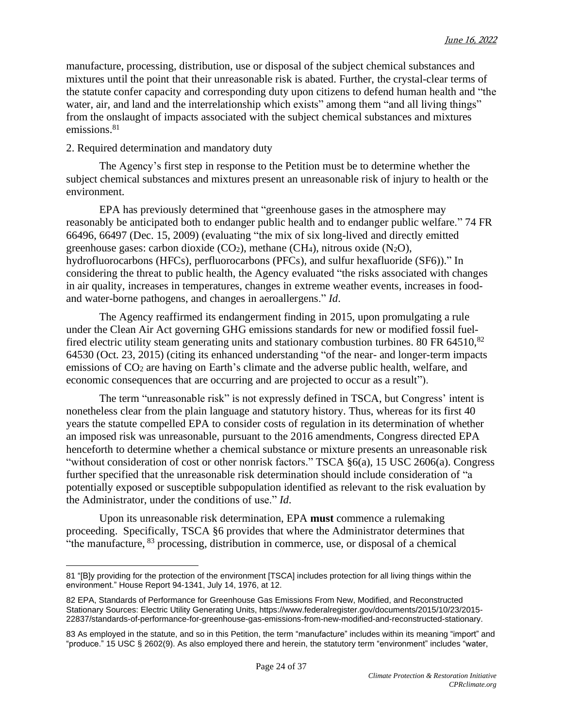manufacture, processing, distribution, use or disposal of the subject chemical substances and mixtures until the point that their unreasonable risk is abated. Further, the crystal-clear terms of the statute confer capacity and corresponding duty upon citizens to defend human health and "the water, air, and land and the interrelationship which exists" among them "and all living things" from the onslaught of impacts associated with the subject chemical substances and mixtures emissions.<sup>81</sup>

## 2. Required determination and mandatory duty

The Agency's first step in response to the Petition must be to determine whether the subject chemical substances and mixtures present an unreasonable risk of injury to health or the environment.

EPA has previously determined that "greenhouse gases in the atmosphere may reasonably be anticipated both to endanger public health and to endanger public welfare." 74 FR 66496, 66497 (Dec. 15, 2009) (evaluating "the mix of six long-lived and directly emitted greenhouse gases: carbon dioxide  $(CO_2)$ , methane  $(CH_4)$ , nitrous oxide  $(N_2O)$ , hydrofluorocarbons (HFCs), perfluorocarbons (PFCs), and sulfur hexafluoride (SF6))." In considering the threat to public health, the Agency evaluated "the risks associated with changes in air quality, increases in temperatures, changes in extreme weather events, increases in foodand water-borne pathogens, and changes in aeroallergens." *Id*.

The Agency reaffirmed its endangerment finding in 2015, upon promulgating a rule under the Clean Air Act governing GHG emissions standards for new or modified fossil fuelfired electric utility steam generating units and stationary combustion turbines. 80 FR 64510,<sup>82</sup> 64530 (Oct. 23, 2015) (citing its enhanced understanding "of the near- and longer-term impacts emissions of CO<sub>2</sub> are having on Earth's climate and the adverse public health, welfare, and economic consequences that are occurring and are projected to occur as a result").

The term "unreasonable risk" is not expressly defined in TSCA, but Congress' intent is nonetheless clear from the plain language and statutory history. Thus, whereas for its first 40 years the statute compelled EPA to consider costs of regulation in its determination of whether an imposed risk was unreasonable, pursuant to the 2016 amendments, Congress directed EPA henceforth to determine whether a chemical substance or mixture presents an unreasonable risk "without consideration of cost or other nonrisk factors." TSCA  $\S6(a)$ , 15 USC 2606(a). Congress further specified that the unreasonable risk determination should include consideration of "a potentially exposed or susceptible subpopulation identified as relevant to the risk evaluation by the Administrator, under the conditions of use." *Id*.

Upon its unreasonable risk determination, EPA **must** commence a rulemaking proceeding. Specifically, TSCA §6 provides that where the Administrator determines that "the manufacture, <sup>83</sup> processing, distribution in commerce, use, or disposal of a chemical

<sup>81</sup> "[B]y providing for the protection of the environment [TSCA] includes protection for all living things within the environment." House Report 94-1341, July 14, 1976, at 12.

<sup>82</sup> EPA, Standards of Performance for Greenhouse Gas Emissions From New, Modified, and Reconstructed Stationary Sources: Electric Utility Generating Units, [https://www.federalregister.gov/documents/2015/10/23/2015-](https://www.federalregister.gov/documents/2015/10/23/2015-22837/standards-of-performance-for-greenhouse-gas-emissions-from-new-modified-and-reconstructed-stationary) [22837/standards-of-performance-for-greenhouse-gas-emissions-from-new-modified-and-reconstructed-stationary.](https://www.federalregister.gov/documents/2015/10/23/2015-22837/standards-of-performance-for-greenhouse-gas-emissions-from-new-modified-and-reconstructed-stationary)

<sup>83</sup> As employed in the statute, and so in this Petition, the term "manufacture" includes within its meaning "import" and "produce." 15 USC § 2602(9). As also employed there and herein, the statutory term "environment" includes "water,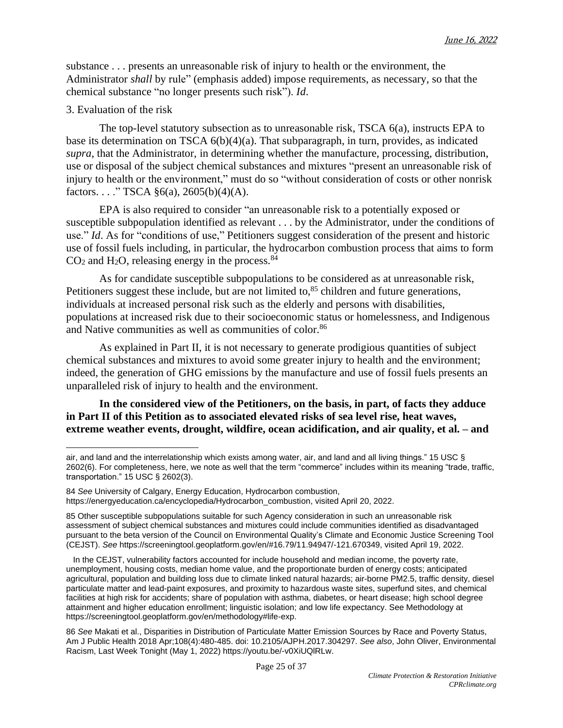substance . . . presents an unreasonable risk of injury to health or the environment, the Administrator *shall* by rule" (emphasis added) impose requirements, as necessary, so that the chemical substance "no longer presents such risk"). *Id*.

#### 3. Evaluation of the risk

The top-level statutory subsection as to unreasonable risk, TSCA  $6(a)$ , instructs EPA to base its determination on TSCA 6(b)(4)(a). That subparagraph, in turn, provides, as indicated *supra*, that the Administrator, in determining whether the manufacture, processing, distribution, use or disposal of the subject chemical substances and mixtures "present an unreasonable risk of injury to health or the environment," must do so "without consideration of costs or other nonrisk factors. . . . " TSCA  $\S6(a)$ , 2605(b)(4)(A).

EPA is also required to consider "an unreasonable risk to a potentially exposed or susceptible subpopulation identified as relevant . . . by the Administrator, under the conditions of use." *Id*. As for "conditions of use," Petitioners suggest consideration of the present and historic use of fossil fuels including, in particular, the hydrocarbon combustion process that aims to form  $CO<sub>2</sub>$  and H<sub>2</sub>O, releasing energy in the process.<sup>84</sup>

As for candidate susceptible subpopulations to be considered as at unreasonable risk, Petitioners suggest these include, but are not limited to,<sup>85</sup> children and future generations, individuals at increased personal risk such as the elderly and persons with disabilities, populations at increased risk due to their socioeconomic status or homelessness, and Indigenous and Native communities as well as communities of color. 86

As explained in Part II, it is not necessary to generate prodigious quantities of subject chemical substances and mixtures to avoid some greater injury to health and the environment; indeed, the generation of GHG emissions by the manufacture and use of fossil fuels presents an unparalleled risk of injury to health and the environment.

**In the considered view of the Petitioners, on the basis, in part, of facts they adduce in Part II of this Petition as to associated elevated risks of sea level rise, heat waves, extreme weather events, drought, wildfire, ocean acidification, and air quality, et al. – and**

air, and land and the interrelationship which exists among water, air, and land and all living things." 15 USC § 2602(6). For completeness, here, we note as well that the term "commerce" includes within its meaning "trade, traffic, transportation." 15 USC § 2602(3).

<sup>84</sup> *See* University of Calgary, Energy Education, Hydrocarbon combustion, [https://energyeducation.ca/encyclopedia/Hydrocarbon\\_combustion,](https://energyeducation.ca/encyclopedia/Hydrocarbon_combustion) visited April 20, 2022.

<sup>85</sup> Other susceptible subpopulations suitable for such Agency consideration in such an unreasonable risk assessment of subject chemical substances and mixtures could include communities identified as disadvantaged pursuant to the beta version of the Council on Environmental Quality's Climate and Economic Justice Screening Tool (CEJST). *See* [https://screeningtool.geoplatform.gov/en/#16.79/11.94947/-121.670349,](https://screeningtool.geoplatform.gov/en/#16.79/11.94947/-121.670349) visited April 19, 2022.

In the CEJST, vulnerability factors accounted for include household and median income, the poverty rate, unemployment, housing costs, median home value, and the proportionate burden of energy costs; anticipated agricultural, population and building loss due to climate linked natural hazards; air-borne PM2.5, traffic density, diesel particulate matter and lead-paint exposures, and proximity to hazardous waste sites, superfund sites, and chemical facilities at high risk for accidents; share of population with asthma, diabetes, or heart disease; high school degree attainment and higher education enrollment; linguistic isolation; and low life expectancy. See Methodology at [https://screeningtool.geoplatform.gov/en/methodology#life-exp.](https://screeningtool.geoplatform.gov/en/methodology#life-exp)

<sup>86</sup> *See* Makati et al., Disparities in Distribution of Particulate Matter Emission Sources by Race and Poverty Status, Am J Public Health 2018 Apr;108(4):480-485. doi: 10.2105/AJPH.2017.304297. *See also*, John Oliver, Environmental Racism, Last Week Tonight (May 1, 2022) [https://youtu.be/-v0XiUQlRLw.](https://youtu.be/-v0XiUQlRLw)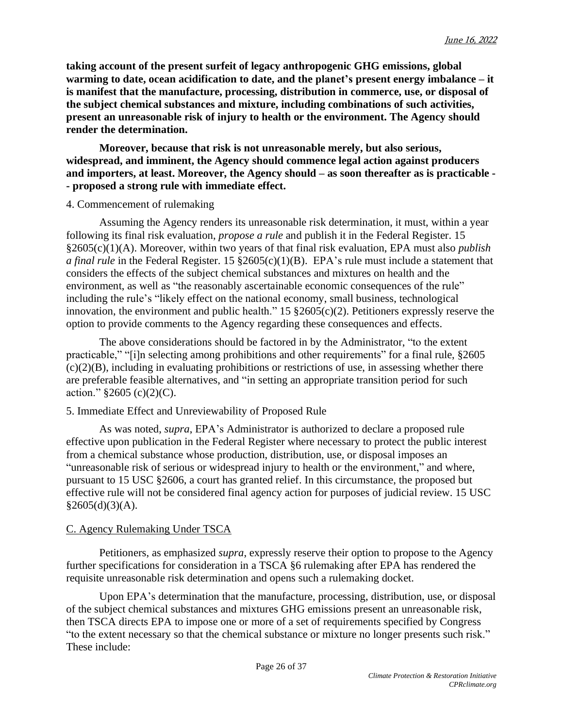**taking account of the present surfeit of legacy anthropogenic GHG emissions, global warming to date, ocean acidification to date, and the planet's present energy imbalance – it is manifest that the manufacture, processing, distribution in commerce, use, or disposal of the subject chemical substances and mixture, including combinations of such activities, present an unreasonable risk of injury to health or the environment. The Agency should render the determination.**

**Moreover, because that risk is not unreasonable merely, but also serious, widespread, and imminent, the Agency should commence legal action against producers and importers, at least. Moreover, the Agency should – as soon thereafter as is practicable - - proposed a strong rule with immediate effect.**

## 4. Commencement of rulemaking

Assuming the Agency renders its unreasonable risk determination, it must, within a year following its final risk evaluation, *propose a rule* and publish it in the Federal Register. 15 §2605(c)(1)(A). Moreover, within two years of that final risk evaluation, EPA must also *publish a final rule* in the Federal Register. 15 §2605(c)(1)(B). EPA's rule must include a statement that considers the effects of the subject chemical substances and mixtures on health and the environment, as well as "the reasonably ascertainable economic consequences of the rule" including the rule's "likely effect on the national economy, small business, technological innovation, the environment and public health." 15  $\S2605(c)(2)$ . Petitioners expressly reserve the option to provide comments to the Agency regarding these consequences and effects.

The above considerations should be factored in by the Administrator, "to the extent practicable," "[i]n selecting among prohibitions and other requirements" for a final rule, §2605  $(c)(2)(B)$ , including in evaluating prohibitions or restrictions of use, in assessing whether there are preferable feasible alternatives, and "in setting an appropriate transition period for such action."  $§2605$  (c)(2)(C).

## 5. Immediate Effect and Unreviewability of Proposed Rule

As was noted, *supra*, EPA's Administrator is authorized to declare a proposed rule effective upon publication in the Federal Register where necessary to protect the public interest from a chemical substance whose production, distribution, use, or disposal imposes an "unreasonable risk of serious or widespread injury to health or the environment," and where, pursuant to 15 USC §2606, a court has granted relief. In this circumstance, the proposed but effective rule will not be considered final agency action for purposes of judicial review. 15 USC  $§2605(d)(3)(A).$ 

# C. Agency Rulemaking Under TSCA

Petitioners, as emphasized *supra*, expressly reserve their option to propose to the Agency further specifications for consideration in a TSCA §6 rulemaking after EPA has rendered the requisite unreasonable risk determination and opens such a rulemaking docket.

Upon EPA's determination that the manufacture, processing, distribution, use, or disposal of the subject chemical substances and mixtures GHG emissions present an unreasonable risk, then TSCA directs EPA to impose one or more of a set of requirements specified by Congress "to the extent necessary so that the chemical substance or mixture no longer presents such risk." These include: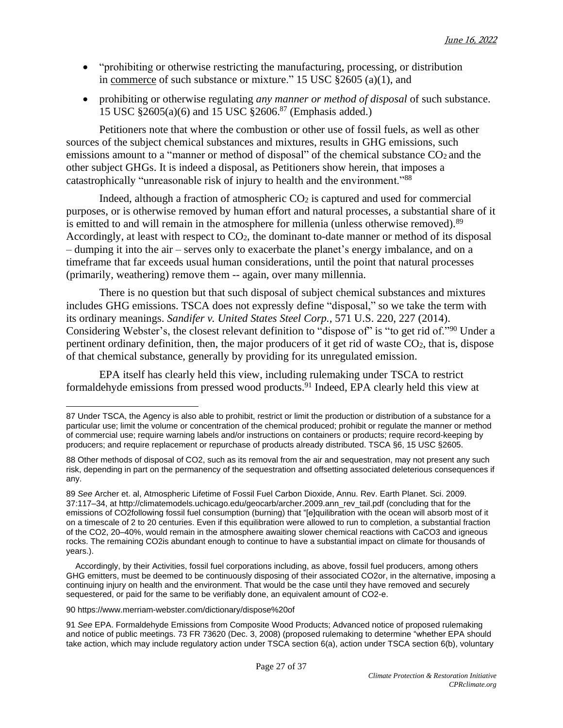- "prohibiting or otherwise restricting the manufacturing, processing, or distribution in [commerce](https://www.law.cornell.edu/definitions/uscode.php?width=840&height=800&iframe=true&def_id=15-USC-602412325-823698989&term_occur=999&term_src=title:15:chapter:53:subchapter:I:section:2605) of such substance or mixture." 15 USC §2605 (a)(1), and
- prohibiting or otherwise regulating *any manner or method of disposal* of such substance. 15 USC §2605(a)(6) and 15 USC §2606.<sup>87</sup> (Emphasis added.)

Petitioners note that where the combustion or other use of fossil fuels, as well as other sources of the subject chemical substances and mixtures, results in GHG emissions, such emissions amount to a "manner or method of disposal" of the chemical substance CO<sub>2</sub> and the other subject GHGs. It is indeed a disposal, as Petitioners show herein, that imposes a catastrophically "unreasonable risk of injury to health and the environment."<sup>88</sup>

Indeed, although a fraction of atmospheric  $CO<sub>2</sub>$  is captured and used for commercial purposes, or is otherwise removed by human effort and natural processes, a substantial share of it is emitted to and will remain in the atmosphere for millenia (unless otherwise removed).<sup>89</sup> Accordingly, at least with respect to CO<sub>2</sub>, the dominant to-date manner or method of its disposal – dumping it into the air – serves only to exacerbate the planet's energy imbalance, and on a timeframe that far exceeds usual human considerations, until the point that natural processes (primarily, weathering) remove them -- again, over many millennia.

There is no question but that such disposal of subject chemical substances and mixtures includes GHG emissions. TSCA does not expressly define "disposal," so we take the term with its ordinary meanings. *Sandifer v. United States Steel Corp.*, 571 U.S. 220, 227 (2014). Considering Webster's, the closest relevant definition to "dispose of" is "to get rid of."<sup>90</sup> Under a pertinent ordinary definition, then, the major producers of it get rid of waste CO2, that is, dispose of that chemical substance, generally by providing for its unregulated emission.

EPA itself has clearly held this view, including rulemaking under TSCA to restrict formaldehyde emissions from pressed wood products.<sup>91</sup> Indeed, EPA clearly held this view at

90 <https://www.merriam-webster.com/dictionary/dispose%20of>

<sup>87</sup> Under TSCA, the Agency is also able to prohibit, restrict or limit the production or distribution of a substance for a particular use; limit the volume or concentration of the chemical produced; prohibit or regulate the manner or method of commercial use; require warning labels and/or instructions on containers or products; require record-keeping by producers; and require replacement or repurchase of products already distributed. TSCA §6, 15 USC §2605.

<sup>88</sup> Other methods of disposal of CO2, such as its removal from the air and sequestration, may not present any such risk, depending in part on the permanency of the sequestration and offsetting associated deleterious consequences if any.

<sup>89</sup> *See* Archer et. al, Atmospheric Lifetime of Fossil Fuel Carbon Dioxide, Annu. Rev. Earth Planet. Sci. 2009. 37:117–34, at [http://climatemodels.uchicago.edu/geocarb/archer.2009.ann\\_rev\\_tail.pdf](http://climatemodels.uchicago.edu/geocarb/archer.2009.ann_rev_tail.pdf) (concluding that for the emissions of CO2following fossil fuel consumption (burning) that "[e]quilibration with the ocean will absorb most of it on a timescale of 2 to 20 centuries. Even if this equilibration were allowed to run to completion, a substantial fraction of the CO2, 20–40%, would remain in the atmosphere awaiting slower chemical reactions with CaCO3 and igneous rocks. The remaining CO2is abundant enough to continue to have a substantial impact on climate for thousands of years.).

Accordingly, by their Activities, fossil fuel corporations including, as above, fossil fuel producers, among others GHG emitters, must be deemed to be continuously disposing of their associated CO2or, in the alternative, imposing a continuing injury on health and the environment. That would be the case until they have removed and securely sequestered, or paid for the same to be verifiably done, an equivalent amount of CO2-e.

<sup>91</sup> *See* EPA. Formaldehyde Emissions from Composite Wood Products; Advanced notice of proposed rulemaking and notice of public meetings. 73 FR 73620 (Dec. 3, 2008) (proposed rulemaking to determine "whether EPA should take action, which may include regulatory action under TSCA section 6(a), action under TSCA section 6(b), voluntary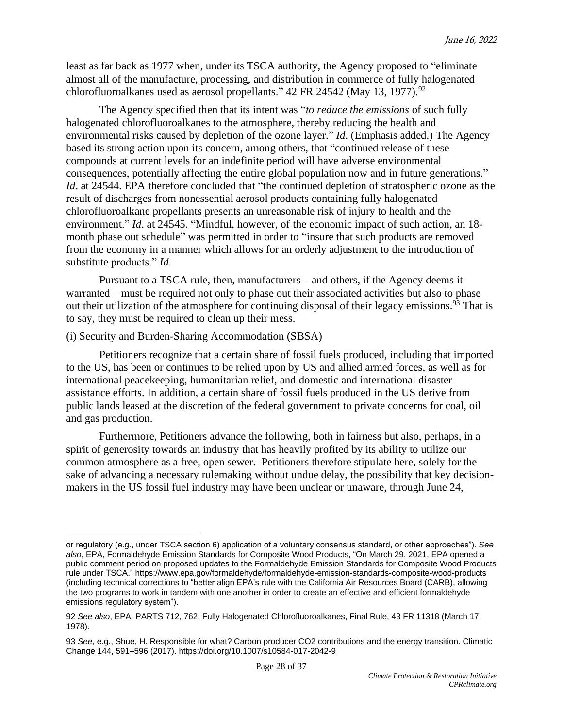least as far back as 1977 when, under its TSCA authority, the Agency proposed to "eliminate almost all of the manufacture, processing, and distribution in commerce of fully halogenated chlorofluoroalkanes used as aerosol propellants."  $42$  FR 24542 (May 13, 1977).<sup>92</sup>

The Agency specified then that its intent was "*to reduce the emissions* of such fully halogenated chlorofluoroalkanes to the atmosphere, thereby reducing the health and environmental risks caused by depletion of the ozone layer." *Id*. (Emphasis added.) The Agency based its strong action upon its concern, among others, that "continued release of these compounds at current levels for an indefinite period will have adverse environmental consequences, potentially affecting the entire global population now and in future generations." *Id.* at 24544. EPA therefore concluded that "the continued depletion of stratospheric ozone as the result of discharges from nonessential aerosol products containing fully halogenated chlorofluoroalkane propellants presents an unreasonable risk of injury to health and the environment." *Id*. at 24545. "Mindful, however, of the economic impact of such action, an 18 month phase out schedule" was permitted in order to "insure that such products are removed from the economy in a manner which allows for an orderly adjustment to the introduction of substitute products." *Id*.

Pursuant to a TSCA rule, then, manufacturers – and others, if the Agency deems it warranted – must be required not only to phase out their associated activities but also to phase out their utilization of the atmosphere for continuing disposal of their legacy emissions. <sup>93</sup> That is to say, they must be required to clean up their mess.

## (i) Security and Burden-Sharing Accommodation (SBSA)

Petitioners recognize that a certain share of fossil fuels produced, including that imported to the US, has been or continues to be relied upon by US and allied armed forces, as well as for international peacekeeping, humanitarian relief, and domestic and international disaster assistance efforts. In addition, a certain share of fossil fuels produced in the US derive from public lands leased at the discretion of the federal government to private concerns for coal, oil and gas production.

Furthermore, Petitioners advance the following, both in fairness but also, perhaps, in a spirit of generosity towards an industry that has heavily profited by its ability to utilize our common atmosphere as a free, open sewer. Petitioners therefore stipulate here, solely for the sake of advancing a necessary rulemaking without undue delay, the possibility that key decisionmakers in the US fossil fuel industry may have been unclear or unaware, through June 24,

or regulatory (e.g., under TSCA section 6) application of a voluntary consensus standard, or other approaches"). *See also*, EPA, Formaldehyde Emission Standards for Composite Wood Products, "On March 29, 2021, EPA opened a public comment period on proposed updates to the Formaldehyde Emission Standards for Composite Wood Products rule under TSCA." <https://www.epa.gov/formaldehyde/formaldehyde-emission-standards-composite-wood-products> (including technical corrections to "better align EPA's rule with the California Air Resources Board (CARB), allowing the two programs to work in tandem with one another in order to create an effective and efficient formaldehyde emissions regulatory system").

<sup>92</sup> *See also*, EPA, PARTS 712, 762: Fully Halogenated Chlorofluoroalkanes, Final Rule, 43 FR 11318 (March 17, 1978).

<sup>93</sup> *See*, e.g., Shue, H. Responsible for what? Carbon producer CO2 contributions and the energy transition. Climatic Change 144, 591–596 (2017). https://doi.org/10.1007/s10584-017-2042-9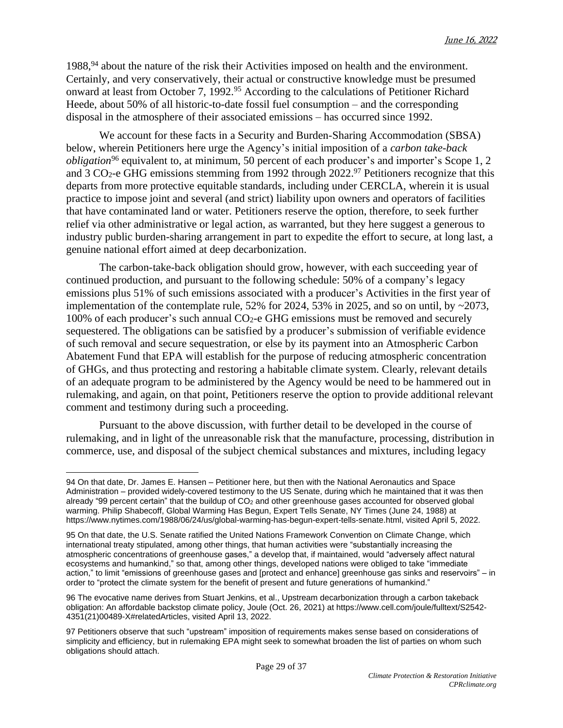1988,<sup>94</sup> about the nature of the risk their Activities imposed on health and the environment. Certainly, and very conservatively, their actual or constructive knowledge must be presumed onward at least from October 7, 1992.<sup>95</sup> According to the calculations of Petitioner Richard Heede, about 50% of all historic-to-date fossil fuel consumption – and the corresponding disposal in the atmosphere of their associated emissions – has occurred since 1992.

We account for these facts in a Security and Burden-Sharing Accommodation (SBSA) below, wherein Petitioners here urge the Agency's initial imposition of a *carbon take-back obligation*<sup>96</sup> equivalent to, at minimum, 50 percent of each producer's and importer's Scope 1, 2 and 3  $CO<sub>2</sub>$ -e GHG emissions stemming from 1992 through 2022.<sup>97</sup> Petitioners recognize that this departs from more protective equitable standards, including under CERCLA, wherein it is usual practice to impose joint and several (and strict) liability upon owners and operators of facilities that have contaminated land or water. Petitioners reserve the option, therefore, to seek further relief via other administrative or legal action, as warranted, but they here suggest a generous to industry public burden-sharing arrangement in part to expedite the effort to secure, at long last, a genuine national effort aimed at deep decarbonization.

The carbon-take-back obligation should grow, however, with each succeeding year of continued production, and pursuant to the following schedule: 50% of a company's legacy emissions plus 51% of such emissions associated with a producer's Activities in the first year of implementation of the contemplate rule, 52% for 2024, 53% in 2025, and so on until, by  $\sim 2073$ , 100% of each producer's such annual  $CO<sub>2</sub>$ -e GHG emissions must be removed and securely sequestered. The obligations can be satisfied by a producer's submission of verifiable evidence of such removal and secure sequestration, or else by its payment into an Atmospheric Carbon Abatement Fund that EPA will establish for the purpose of reducing atmospheric concentration of GHGs, and thus protecting and restoring a habitable climate system. Clearly, relevant details of an adequate program to be administered by the Agency would be need to be hammered out in rulemaking, and again, on that point, Petitioners reserve the option to provide additional relevant comment and testimony during such a proceeding.

Pursuant to the above discussion, with further detail to be developed in the course of rulemaking, and in light of the unreasonable risk that the manufacture, processing, distribution in commerce, use, and disposal of the subject chemical substances and mixtures, including legacy

<sup>94</sup> On that date, Dr. James E. Hansen – Petitioner here, but then with the National Aeronautics and Space Administration – provided widely-covered testimony to the US Senate, during which he maintained that it was then already "99 percent certain" that the buildup of  $CO<sub>2</sub>$  and other greenhouse gases accounted for observed global warming. Philip Shabecoff, Global Warming Has Begun, Expert Tells Senate, NY Times (June 24, 1988) at [https://www.nytimes.com/1988/06/24/us/global-warming-has-begun-expert-tells-senate.html,](https://www.nytimes.com/1988/06/24/us/global-warming-has-begun-expert-tells-senate.html) visited April 5, 2022.

<sup>95</sup> On that date, the U.S. Senate ratified the United Nations Framework Convention on Climate Change, which international treaty stipulated, among other things, that human activities were "substantially increasing the atmospheric concentrations of greenhouse gases," a develop that, if maintained, would "adversely affect natural ecosystems and humankind," so that, among other things, developed nations were obliged to take "immediate action," to limit "emissions of greenhouse gases and [protect and enhance] greenhouse gas sinks and reservoirs" – in order to "protect the climate system for the benefit of present and future generations of humankind."

<sup>96</sup> The evocative name derives from Stuart Jenkins, et al., Upstream decarbonization through a carbon takeback obligation: An affordable backstop climate policy, Joule (Oct. 26, 2021) at [https://www.cell.com/joule/fulltext/S2542-](https://www.cell.com/joule/fulltext/S2542-4351(21)00489-X#relatedArticles) [4351\(21\)00489-X#relatedArticles,](https://www.cell.com/joule/fulltext/S2542-4351(21)00489-X#relatedArticles) visited April 13, 2022.

<sup>97</sup> Petitioners observe that such "upstream" imposition of requirements makes sense based on considerations of simplicity and efficiency, but in rulemaking EPA might seek to somewhat broaden the list of parties on whom such obligations should attach.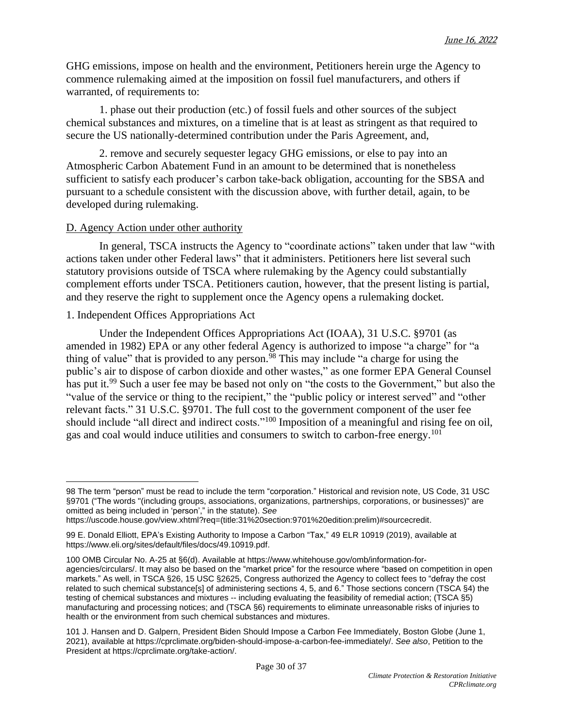GHG emissions, impose on health and the environment, Petitioners herein urge the Agency to commence rulemaking aimed at the imposition on fossil fuel manufacturers, and others if warranted, of requirements to:

1. phase out their production (etc.) of fossil fuels and other sources of the subject chemical substances and mixtures, on a timeline that is at least as stringent as that required to secure the US nationally-determined contribution under the Paris Agreement, and,

2. remove and securely sequester legacy GHG emissions, or else to pay into an Atmospheric Carbon Abatement Fund in an amount to be determined that is nonetheless sufficient to satisfy each producer's carbon take-back obligation, accounting for the SBSA and pursuant to a schedule consistent with the discussion above, with further detail, again, to be developed during rulemaking.

#### D. Agency Action under other authority

In general, TSCA instructs the Agency to "coordinate actions" taken under that law "with actions taken under other Federal laws" that it administers. Petitioners here list several such statutory provisions outside of TSCA where rulemaking by the Agency could substantially complement efforts under TSCA. Petitioners caution, however, that the present listing is partial, and they reserve the right to supplement once the Agency opens a rulemaking docket.

#### 1. Independent Offices Appropriations Act

Under the Independent Offices Appropriations Act (IOAA), 31 U.S.C. §9701 (as amended in 1982) EPA or any other federal Agency is authorized to impose "a charge" for "a thing of value" that is provided to any person.<sup>98</sup> This may include "a charge for using the public's air to dispose of carbon dioxide and other wastes," as one former EPA General Counsel has put it.<sup>99</sup> Such a user fee may be based not only on "the costs to the Government," but also the "value of the service or thing to the recipient," the "public policy or interest served" and "other relevant facts." 31 U.S.C. §9701. The full cost to the government component of the user fee should include "all direct and indirect costs."<sup>100</sup> Imposition of a meaningful and rising fee on oil, gas and coal would induce utilities and consumers to switch to carbon-free energy.<sup>101</sup>

<sup>98</sup> The term "person" must be read to include the term "corporation." Historical and revision note, US Code, 31 USC §9701 ("The words "(including groups, associations, organizations, partnerships, corporations, or businesses)" are omitted as being included in 'person'," in the statute). *See*

[https://uscode.house.gov/view.xhtml?req=\(title:31%20section:9701%20edition:prelim\)#sourcecredit.](https://uscode.house.gov/view.xhtml?req=(title:31%2520section:9701%2520edition:prelim)#sourcecredit)

<sup>99</sup> E. Donald Elliott, EPA's Existing Authority to Impose a Carbon "Tax," 49 ELR 10919 (2019), available at [https://www.eli.org/sites/default/files/docs/49.10919.pdf.](https://www.eli.org/sites/default/files/docs/49.10919.pdf)

<sup>100</sup> OMB Circular No. A-25 at §6(d). Available at [https://www.whitehouse.gov/omb/information-for](https://www.whitehouse.gov/omb/information-for-agencies/circulars/)[agencies/circulars/.](https://www.whitehouse.gov/omb/information-for-agencies/circulars/) It may also be based on the "market price" for the resource where "based on competition in open markets." As well, in TSCA §26, 15 USC §2625, Congress authorized the Agency to collect fees to "defray the cost related to such chemical substance[s] of administering sections 4, 5, and 6." Those sections concern (TSCA §4) the testing of chemical substances and mixtures -- including evaluating the feasibility of remedial action; (TSCA §5) manufacturing and processing notices; and (TSCA §6) requirements to eliminate unreasonable risks of injuries to health or the environment from such chemical substances and mixtures.

<sup>101</sup> J. Hansen and D. Galpern, President Biden Should Impose a Carbon Fee Immediately, Boston Globe (June 1, 2021), available at [https://cprclimate.org/biden-should-impose-a-carbon-fee-immediately/.](https://cprclimate.org/biden-should-impose-a-carbon-fee-immediately/) *See also*, Petition to the President at [https://cprclimate.org/take-action/.](https://cprclimate.org/take-action/)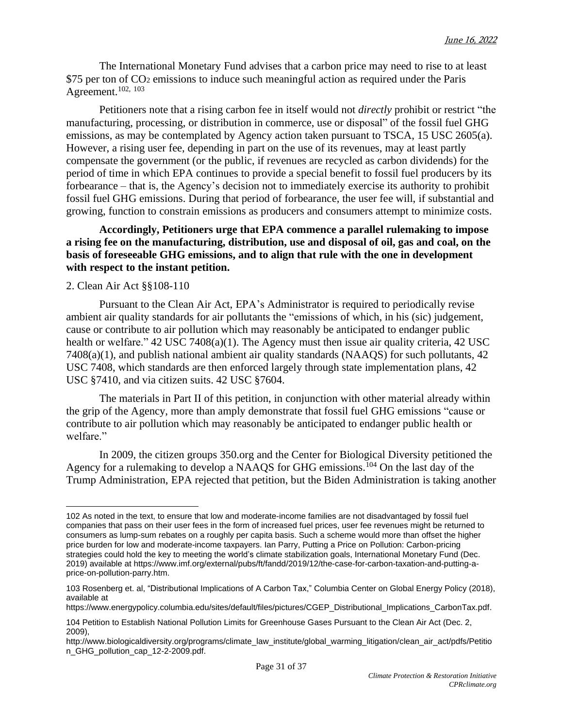The International Monetary Fund advises that a carbon price may need to rise to at least  $$75$  per ton of  $CO<sub>2</sub>$  emissions to induce such meaningful action as required under the Paris Agreement.102, <sup>103</sup>

Petitioners note that a rising carbon fee in itself would not *directly* prohibit or restrict "the manufacturing, processing, or distribution in commerce, use or disposal" of the fossil fuel GHG emissions, as may be contemplated by Agency action taken pursuant to TSCA, 15 USC 2605(a). However, a rising user fee, depending in part on the use of its revenues, may at least partly compensate the government (or the public, if revenues are recycled as carbon dividends) for the period of time in which EPA continues to provide a special benefit to fossil fuel producers by its forbearance – that is, the Agency's decision not to immediately exercise its authority to prohibit fossil fuel GHG emissions. During that period of forbearance, the user fee will, if substantial and growing, function to constrain emissions as producers and consumers attempt to minimize costs.

## **Accordingly, Petitioners urge that EPA commence a parallel rulemaking to impose a rising fee on the manufacturing, distribution, use and disposal of oil, gas and coal, on the basis of foreseeable GHG emissions, and to align that rule with the one in development with respect to the instant petition.**

## 2. Clean Air Act §§108-110

Pursuant to the Clean Air Act, EPA's Administrator is required to periodically revise ambient air quality standards for air pollutants the "emissions of which, in his (sic) judgement, cause or contribute to air pollution which may reasonably be anticipated to endanger public health or welfare." 42 USC 7408(a)(1). The Agency must then issue air quality criteria, 42 USC 7408(a)(1), and publish national ambient air quality standards (NAAQS) for such pollutants, 42 USC 7408, which standards are then enforced largely through state implementation plans, 42 USC §7410, and via citizen suits. 42 USC §7604.

The materials in Part II of this petition, in conjunction with other material already within the grip of the Agency, more than amply demonstrate that fossil fuel GHG emissions "cause or contribute to air pollution which may reasonably be anticipated to endanger public health or welfare."

In 2009, the citizen groups 350.org and the Center for Biological Diversity petitioned the Agency for a rulemaking to develop a NAAQS for GHG emissions.<sup>104</sup> On the last day of the Trump Administration, EPA rejected that petition, but the Biden Administration is taking another

<sup>102</sup> As noted in the text, to ensure that low and moderate-income families are not disadvantaged by fossil fuel companies that pass on their user fees in the form of increased fuel prices, user fee revenues might be returned to consumers as lump-sum rebates on a roughly per capita basis. Such a scheme would more than offset the higher price burden for low and moderate-income taxpayers. Ian Parry, Putting a Price on Pollution: Carbon-pricing strategies could hold the key to meeting the world's climate stabilization goals, International Monetary Fund (Dec. 2019) available at [https://www.imf.org/external/pubs/ft/fandd/2019/12/the-case-for-carbon-taxation-and-putting-a](https://www.imf.org/external/pubs/ft/fandd/2019/12/the-case-for-carbon-taxation-and-putting-a-price-on-pollution-parry.htm)[price-on-pollution-parry.htm.](https://www.imf.org/external/pubs/ft/fandd/2019/12/the-case-for-carbon-taxation-and-putting-a-price-on-pollution-parry.htm)

<sup>103</sup> Rosenberg et. al, "Distributional Implications of A Carbon Tax," Columbia Center on Global Energy Policy (2018), available at

[https://www.energypolicy.columbia.edu/sites/default/files/pictures/CGEP\\_Distributional\\_Implications\\_CarbonTax.pdf.](https://www.energypolicy.columbia.edu/sites/default/files/pictures/CGEP_Distributional_Implications_CarbonTax.pdf)

<sup>104</sup> Petition to Establish National Pollution Limits for Greenhouse Gases Pursuant to the Clean Air Act (Dec. 2, 2009),

[http://www.biologicaldiversity.org/programs/climate\\_law\\_institute/global\\_warming\\_litigation/clean\\_air\\_act/pdfs/Petitio](http://www.biologicaldiversity.org/programs/climate_law_institute/global_warming_litigation/clean_air_act/pdfs/Petition_GHG_pollution_cap_12-2-2009.pdf) [n\\_GHG\\_pollution\\_cap\\_12-2-2009.pdf.](http://www.biologicaldiversity.org/programs/climate_law_institute/global_warming_litigation/clean_air_act/pdfs/Petition_GHG_pollution_cap_12-2-2009.pdf)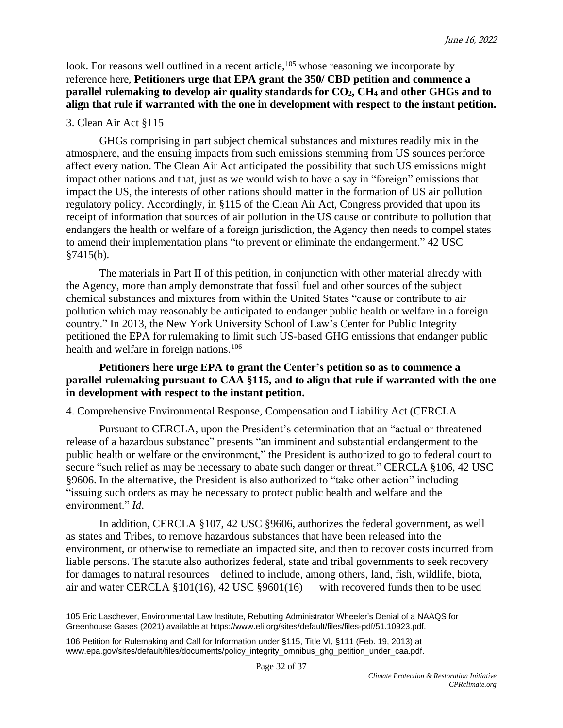look. For reasons well outlined in a recent article, <sup>105</sup> whose reasoning we incorporate by reference here, **Petitioners urge that EPA grant the 350/ CBD petition and commence a parallel rulemaking to develop air quality standards for CO2, CH<sup>4</sup> and other GHGs and to align that rule if warranted with the one in development with respect to the instant petition.**

## 3. Clean Air Act §115

GHGs comprising in part subject chemical substances and mixtures readily mix in the atmosphere, and the ensuing impacts from such emissions stemming from US sources perforce affect every nation. The Clean Air Act anticipated the possibility that such US emissions might impact other nations and that, just as we would wish to have a say in "foreign" emissions that impact the US, the interests of other nations should matter in the formation of US air pollution regulatory policy. Accordingly, in §115 of the Clean Air Act, Congress provided that upon its receipt of information that sources of air pollution in the US cause or contribute to pollution that endangers the health or welfare of a foreign jurisdiction, the Agency then needs to compel states to amend their implementation plans "to prevent or eliminate the endangerment." 42 USC §7415(b).

The materials in Part II of this petition, in conjunction with other material already with the Agency, more than amply demonstrate that fossil fuel and other sources of the subject chemical substances and mixtures from within the United States "cause or contribute to air pollution which may reasonably be anticipated to endanger public health or welfare in a foreign country." In 2013, the New York University School of Law's Center for Public Integrity petitioned the EPA for rulemaking to limit such US-based GHG emissions that endanger public health and welfare in foreign nations.<sup>106</sup>

### **Petitioners here urge EPA to grant the Center's petition so as to commence a parallel rulemaking pursuant to CAA §115, and to align that rule if warranted with the one in development with respect to the instant petition.**

4. Comprehensive Environmental Response, Compensation and Liability Act (CERCLA

Pursuant to CERCLA, upon the President's determination that an "actual or threatened release of a hazardous substance" presents "an imminent and substantial endangerment to the public health or welfare or the environment," the President is authorized to go to federal court to secure "such relief as may be necessary to abate such danger or threat." CERCLA §106, 42 USC §9606. In the alternative, the President is also authorized to "take other action" including "issuing such orders as may be necessary to protect public health and welfare and the environment." *Id*.

In addition, CERCLA §107, 42 USC §9606, authorizes the federal government, as well as states and Tribes, to remove hazardous substances that have been released into the environment, or otherwise to remediate an impacted site, and then to recover costs incurred from liable persons. The statute also authorizes federal, state and tribal governments to seek recovery for damages to natural resources – defined to include, among others, land, fish, wildlife, biota, air and water CERCLA §101(16), 42 USC §9601(16) — with recovered funds then to be used

<sup>105</sup> Eric Laschever, Environmental Law Institute, Rebutting Administrator Wheeler's Denial of a NAAQS for Greenhouse Gases (2021) available at [https://www.eli.org/sites/default/files/files-pdf/51.10923.pdf.](https://www.eli.org/sites/default/files/files-pdf/51.10923.pdf)

<sup>106</sup> Petition for Rulemaking and Call for Information under §115, Title VI, §111 (Feb. 19, 2013) at [www.epa.gov/sites/default/files/documents/policy\\_integrity\\_omnibus\\_ghg\\_petition\\_under\\_caa.pdf.](https://www.epa.gov/sites/default/files/documents/policy_integrity_omnibus_ghg_petition_under_caa.pdf)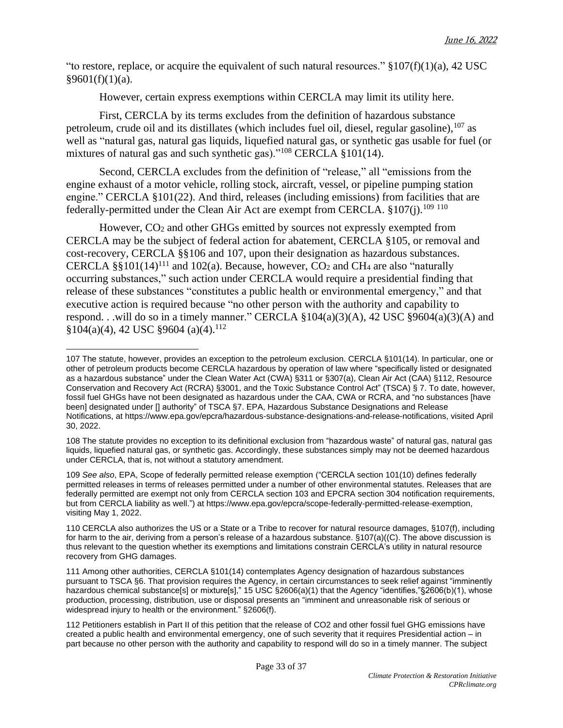"to restore, replace, or acquire the equivalent of such natural resources."  $\S 107(f)(1)(a)$ , 42 USC  $§9601(f)(1)(a)$ .

However, certain express exemptions within CERCLA may limit its utility here.

First, CERCLA by its terms excludes from the definition of hazardous substance petroleum, crude oil and its distillates (which includes fuel oil, diesel, regular gasoline), <sup>107</sup> as well as "natural gas, natural gas liquids, liquefied natural gas, or synthetic gas usable for fuel (or mixtures of natural gas and such synthetic gas)."<sup>108</sup> CERCLA §101(14).

Second, CERCLA excludes from the definition of "release," all "emissions from the engine exhaust of a motor vehicle, rolling stock, aircraft, vessel, or pipeline pumping station engine." CERCLA §101(22). And third, releases (including emissions) from facilities that are federally-permitted under the Clean Air Act are exempt from CERCLA. §107(j).<sup>109 110</sup>

However, CO<sup>2</sup> and other GHGs emitted by sources not expressly exempted from CERCLA may be the subject of federal action for abatement, CERCLA §105, or removal and cost-recovery, CERCLA §§106 and 107, upon their designation as hazardous substances. CERCLA §§101(14)<sup>111</sup> and 102(a). Because, however,  $CO_2$  and CH<sub>4</sub> are also "naturally occurring substances," such action under CERCLA would require a presidential finding that release of these substances "constitutes a public health or environmental emergency," and that executive action is required because "no other person with the authority and capability to respond. . .will do so in a timely manner." CERCLA  $\S 104(a)(3)(A)$ , 42 USC  $\S 9604(a)(3)(A)$  and  $$104(a)(4), 42$  USC  $$9604(a)(4).$ <sup>112</sup>

<sup>107</sup> The statute, however, provides an exception to the petroleum exclusion. CERCLA §101(14). In particular, one or other of petroleum products become CERCLA hazardous by operation of law where "specifically listed or designated as a hazardous substance" under the Clean Water Act (CWA) §311 or §307(a), Clean Air Act (CAA) §112, Resource Conservation and Recovery Act (RCRA) §3001, and the Toxic Substance Control Act" (TSCA) § 7. To date, however, fossil fuel GHGs have not been designated as hazardous under the CAA, CWA or RCRA, and "no substances [have been] designated under [] authority" of TSCA §7. EPA, Hazardous Substance Designations and Release Notifications, at [https://www.epa.gov/epcra/hazardous-substance-designations-and-release-notifications,](https://www.epa.gov/epcra/hazardous-substance-designations-and-release-notifications) visited April 30, 2022.

<sup>108</sup> The statute provides no exception to its definitional exclusion from "hazardous waste" of natural gas, natural gas liquids, liquefied natural gas, or synthetic gas. Accordingly, these substances simply may not be deemed hazardous under CERCLA, that is, not without a statutory amendment.

<sup>109</sup> *See also*, EPA, Scope of federally permitted release exemption ("CERCLA section 101(10) defines federally permitted releases in terms of releases permitted under a number of other environmental statutes. Releases that are federally permitted are exempt not only from CERCLA section 103 and EPCRA section 304 notification requirements, but from CERCLA liability as well.") at [https://www.epa.gov/epcra/scope-federally-permitted-release-exemption,](https://www.epa.gov/epcra/scope-federally-permitted-release-exemption) visiting May 1, 2022.

<sup>110</sup> CERCLA also authorizes the US or a State or a Tribe to recover for natural resource damages, §107(f), including for harm to the air, deriving from a person's release of a hazardous substance. §107(a)((C). The above discussion is thus relevant to the question whether its exemptions and limitations constrain CERCLA's utility in natural resource recovery from GHG damages.

<sup>111</sup> Among other authorities, CERCLA §101(14) contemplates Agency designation of hazardous substances pursuant to TSCA §6. That provision requires the Agency, in certain circumstances to seek relief against "imminently hazardous chemical substance[s] or mixture[s]," 15 USC §2606(a)(1) that the Agency "identifies,"§2606(b)(1), whose production, processing, distribution, use or disposal presents an "imminent and unreasonable risk of serious or widespread injury to health or the environment." §2606(f).

<sup>112</sup> Petitioners establish in Part II of this petition that the release of CO2 and other fossil fuel GHG emissions have created a public health and environmental emergency, one of such severity that it requires Presidential action – in part because no other person with the authority and capability to respond will do so in a timely manner. The subject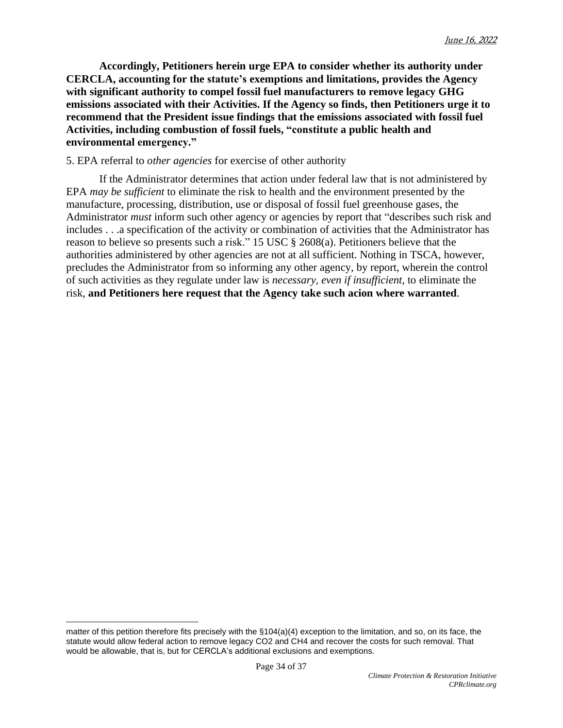**Accordingly, Petitioners herein urge EPA to consider whether its authority under CERCLA, accounting for the statute's exemptions and limitations, provides the Agency with significant authority to compel fossil fuel manufacturers to remove legacy GHG emissions associated with their Activities. If the Agency so finds, then Petitioners urge it to recommend that the President issue findings that the emissions associated with fossil fuel Activities, including combustion of fossil fuels, "constitute a public health and environmental emergency."**

#### 5. EPA referral to *other agencies* for exercise of other authority

If the Administrator determines that action under federal law that is not administered by EPA *may be sufficient* to eliminate the risk to health and the environment presented by the manufacture, processing, distribution, use or disposal of fossil fuel greenhouse gases, the Administrator *must* inform such other agency or agencies by report that "describes such risk and includes . . .a specification of the activity or combination of activities that the Administrator has reason to believe so presents such a risk." 15 USC § 2608(a). Petitioners believe that the authorities administered by other agencies are not at all sufficient. Nothing in TSCA, however, precludes the Administrator from so informing any other agency, by report, wherein the control of such activities as they regulate under law is *necessary, even if insufficient*, to eliminate the risk, **and Petitioners here request that the Agency take such acion where warranted**.

matter of this petition therefore fits precisely with the §104(a)(4) exception to the limitation, and so, on its face, the statute would allow federal action to remove legacy CO2 and CH4 and recover the costs for such removal. That would be allowable, that is, but for CERCLA's additional exclusions and exemptions.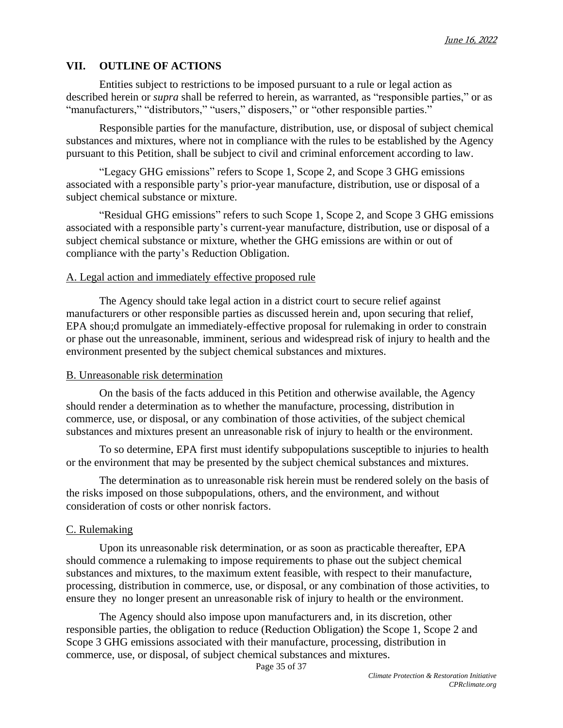# **VII. OUTLINE OF ACTIONS**

Entities subject to restrictions to be imposed pursuant to a rule or legal action as described herein or *supra* shall be referred to herein, as warranted, as "responsible parties," or as "manufacturers," "distributors," "users," disposers," or "other responsible parties."

Responsible parties for the manufacture, distribution, use, or disposal of subject chemical substances and mixtures, where not in compliance with the rules to be established by the Agency pursuant to this Petition, shall be subject to civil and criminal enforcement according to law.

"Legacy GHG emissions" refers to Scope 1, Scope 2, and Scope 3 GHG emissions associated with a responsible party's prior-year manufacture, distribution, use or disposal of a subject chemical substance or mixture.

"Residual GHG emissions" refers to such Scope 1, Scope 2, and Scope 3 GHG emissions associated with a responsible party's current-year manufacture, distribution, use or disposal of a subject chemical substance or mixture, whether the GHG emissions are within or out of compliance with the party's Reduction Obligation.

## A. Legal action and immediately effective proposed rule

The Agency should take legal action in a district court to secure relief against manufacturers or other responsible parties as discussed herein and, upon securing that relief, EPA shou;d promulgate an immediately-effective proposal for rulemaking in order to constrain or phase out the unreasonable, imminent, serious and widespread risk of injury to health and the environment presented by the subject chemical substances and mixtures.

## B. Unreasonable risk determination

On the basis of the facts adduced in this Petition and otherwise available, the Agency should render a determination as to whether the manufacture, processing, distribution in commerce, use, or disposal, or any combination of those activities, of the subject chemical substances and mixtures present an unreasonable risk of injury to health or the environment.

To so determine, EPA first must identify subpopulations susceptible to injuries to health or the environment that may be presented by the subject chemical substances and mixtures.

The determination as to unreasonable risk herein must be rendered solely on the basis of the risks imposed on those subpopulations, others, and the environment, and without consideration of costs or other nonrisk factors.

## C. Rulemaking

Upon its unreasonable risk determination, or as soon as practicable thereafter, EPA should commence a rulemaking to impose requirements to phase out the subject chemical substances and mixtures, to the maximum extent feasible, with respect to their manufacture, processing, distribution in commerce, use, or disposal, or any combination of those activities, to ensure they no longer present an unreasonable risk of injury to health or the environment.

The Agency should also impose upon manufacturers and, in its discretion, other responsible parties, the obligation to reduce (Reduction Obligation) the Scope 1, Scope 2 and Scope 3 GHG emissions associated with their manufacture, processing, distribution in commerce, use, or disposal, of subject chemical substances and mixtures.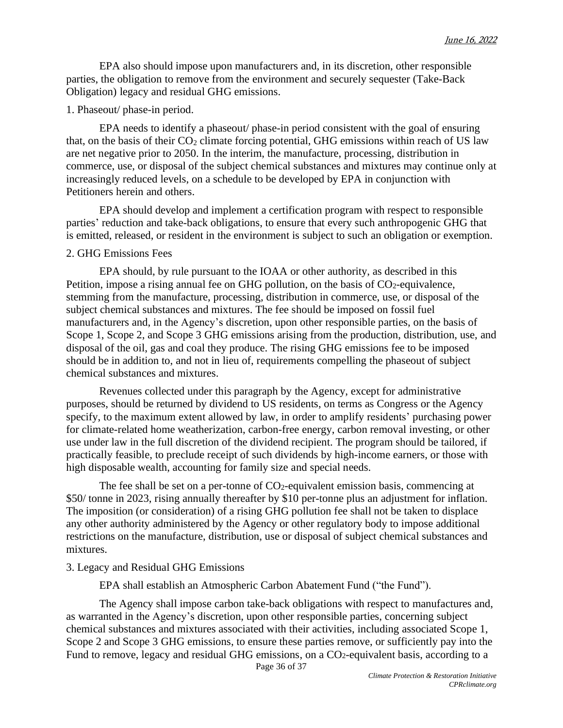EPA also should impose upon manufacturers and, in its discretion, other responsible parties, the obligation to remove from the environment and securely sequester (Take-Back Obligation) legacy and residual GHG emissions.

#### 1. Phaseout/ phase-in period.

EPA needs to identify a phaseout/ phase-in period consistent with the goal of ensuring that, on the basis of their  $CO<sub>2</sub>$  climate forcing potential, GHG emissions within reach of US law are net negative prior to 2050. In the interim, the manufacture, processing, distribution in commerce, use, or disposal of the subject chemical substances and mixtures may continue only at increasingly reduced levels, on a schedule to be developed by EPA in conjunction with Petitioners herein and others.

EPA should develop and implement a certification program with respect to responsible parties' reduction and take-back obligations, to ensure that every such anthropogenic GHG that is emitted, released, or resident in the environment is subject to such an obligation or exemption.

#### 2. GHG Emissions Fees

EPA should, by rule pursuant to the IOAA or other authority, as described in this Petition, impose a rising annual fee on GHG pollution, on the basis of CO2-equivalence, stemming from the manufacture, processing, distribution in commerce, use, or disposal of the subject chemical substances and mixtures. The fee should be imposed on fossil fuel manufacturers and, in the Agency's discretion, upon other responsible parties, on the basis of Scope 1, Scope 2, and Scope 3 GHG emissions arising from the production, distribution, use, and disposal of the oil, gas and coal they produce. The rising GHG emissions fee to be imposed should be in addition to, and not in lieu of, requirements compelling the phaseout of subject chemical substances and mixtures.

Revenues collected under this paragraph by the Agency, except for administrative purposes, should be returned by dividend to US residents, on terms as Congress or the Agency specify, to the maximum extent allowed by law, in order to amplify residents' purchasing power for climate-related home weatherization, carbon-free energy, carbon removal investing, or other use under law in the full discretion of the dividend recipient. The program should be tailored, if practically feasible, to preclude receipt of such dividends by high-income earners, or those with high disposable wealth, accounting for family size and special needs.

The fee shall be set on a per-tonne of  $CO<sub>2</sub>$ -equivalent emission basis, commencing at \$50/ tonne in 2023, rising annually thereafter by \$10 per-tonne plus an adjustment for inflation. The imposition (or consideration) of a rising GHG pollution fee shall not be taken to displace any other authority administered by the Agency or other regulatory body to impose additional restrictions on the manufacture, distribution, use or disposal of subject chemical substances and mixtures.

#### 3. Legacy and Residual GHG Emissions

EPA shall establish an Atmospheric Carbon Abatement Fund ("the Fund").

The Agency shall impose carbon take-back obligations with respect to manufactures and, as warranted in the Agency's discretion, upon other responsible parties, concerning subject chemical substances and mixtures associated with their activities, including associated Scope 1, Scope 2 and Scope 3 GHG emissions, to ensure these parties remove, or sufficiently pay into the Fund to remove, legacy and residual GHG emissions, on a CO<sub>2</sub>-equivalent basis, according to a